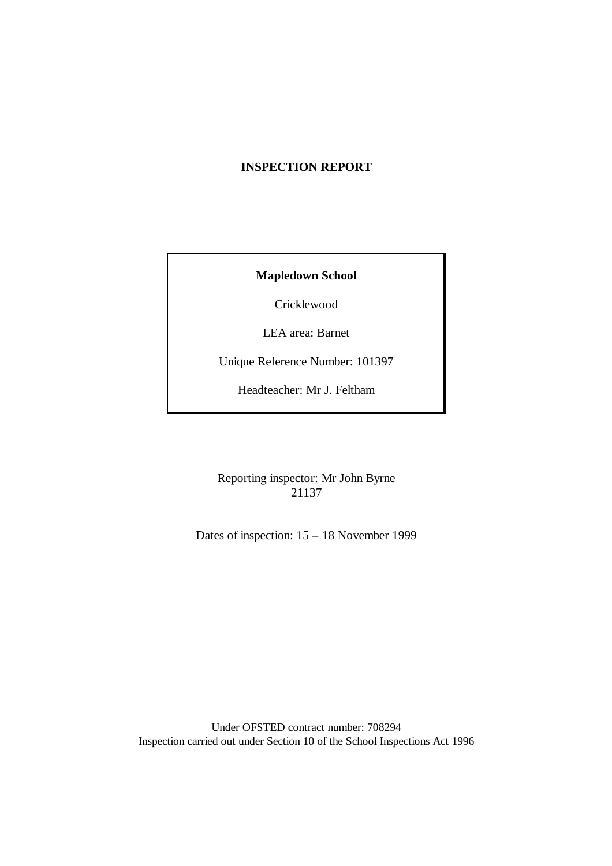# **INSPECTION REPORT**

## **Mapledown School**

Cricklewood

LEA area: Barnet

Unique Reference Number: 101397

Headteacher: Mr J. Feltham

Reporting inspector: Mr John Byrne 21137

Dates of inspection: 15 – 18 November 1999

Under OFSTED contract number: 708294 Inspection carried out under Section 10 of the School Inspections Act 1996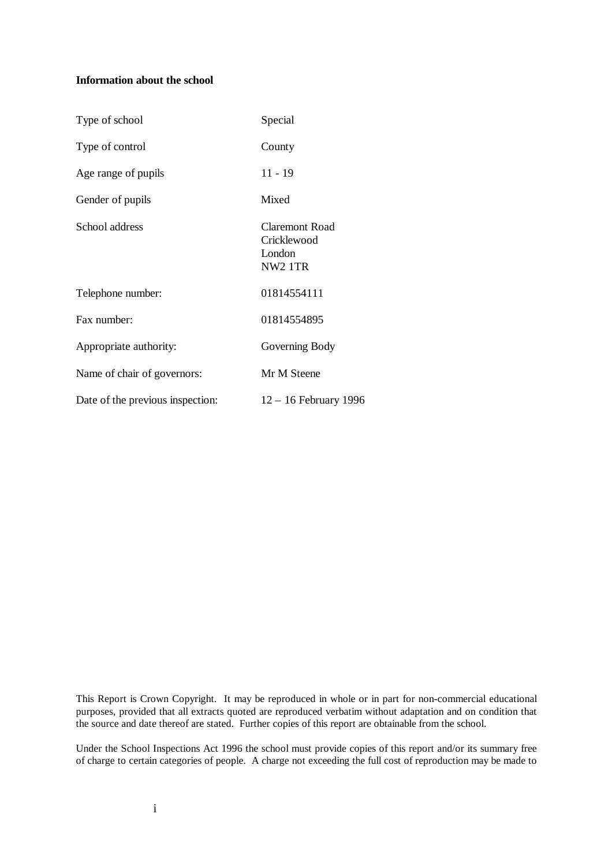#### **Information about the school**

| Type of school                   | Special                                                        |
|----------------------------------|----------------------------------------------------------------|
| Type of control                  | County                                                         |
| Age range of pupils              | $11 - 19$                                                      |
| Gender of pupils                 | Mixed                                                          |
| School address                   | Claremont Road<br>Cricklewood<br>London<br>NW <sub>2</sub> 1TR |
| Telephone number:                | 01814554111                                                    |
| Fax number:                      | 01814554895                                                    |
| Appropriate authority:           | Governing Body                                                 |
| Name of chair of governors:      | Mr M Steene                                                    |
| Date of the previous inspection: | $12 - 16$ February 1996                                        |

This Report is Crown Copyright. It may be reproduced in whole or in part for non-commercial educational purposes, provided that all extracts quoted are reproduced verbatim without adaptation and on condition that the source and date thereof are stated. Further copies of this report are obtainable from the school.

Under the School Inspections Act 1996 the school must provide copies of this report and/or its summary free of charge to certain categories of people. A charge not exceeding the full cost of reproduction may be made to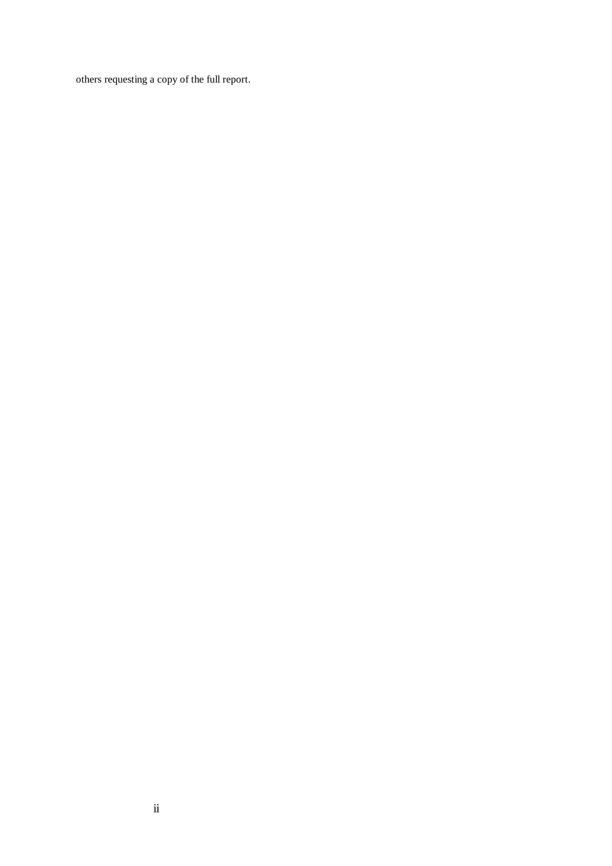others requesting a copy of the full report.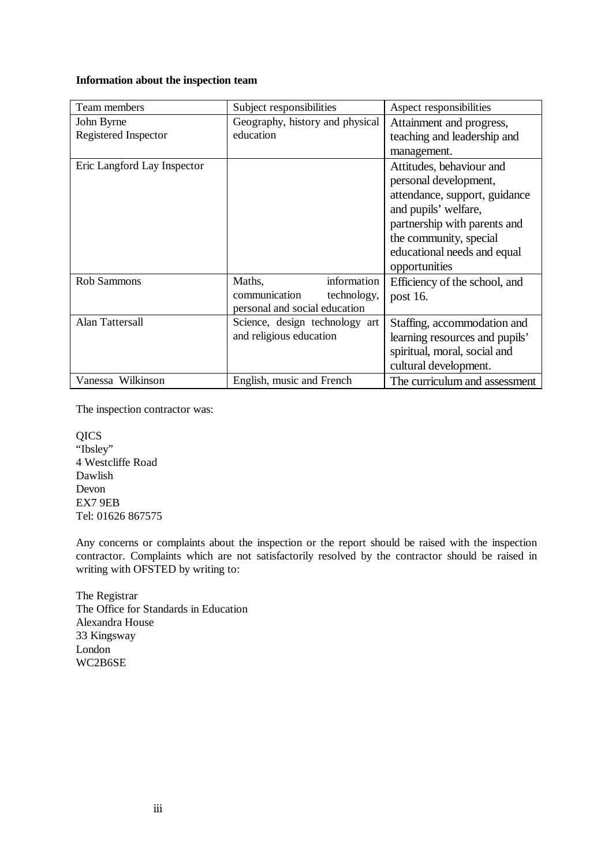#### **Information about the inspection team**

| Team members                | Subject responsibilities        | Aspect responsibilities        |
|-----------------------------|---------------------------------|--------------------------------|
| John Byrne                  | Geography, history and physical | Attainment and progress,       |
| Registered Inspector        | education                       | teaching and leadership and    |
|                             |                                 | management.                    |
| Eric Langford Lay Inspector |                                 | Attitudes, behaviour and       |
|                             |                                 | personal development,          |
|                             |                                 | attendance, support, guidance  |
|                             |                                 | and pupils' welfare,           |
|                             |                                 | partnership with parents and   |
|                             |                                 | the community, special         |
|                             |                                 | educational needs and equal    |
|                             |                                 | opportunities                  |
| Rob Sammons                 | information<br>Maths,           | Efficiency of the school, and  |
|                             | communication<br>technology,    | post 16.                       |
|                             | personal and social education   |                                |
| <b>Alan Tattersall</b>      | Science, design technology art  | Staffing, accommodation and    |
|                             | and religious education         | learning resources and pupils' |
|                             |                                 | spiritual, moral, social and   |
|                             |                                 | cultural development.          |
| Vanessa Wilkinson           | English, music and French       | The curriculum and assessment  |

The inspection contractor was:

QICS "Ibsley" 4 Westcliffe Road Dawlish Devon EX7 9EB Tel: 01626 867575

Any concerns or complaints about the inspection or the report should be raised with the inspection contractor. Complaints which are not satisfactorily resolved by the contractor should be raised in writing with OFSTED by writing to:

The Registrar The Office for Standards in Education Alexandra House 33 Kingsway London WC2B6SE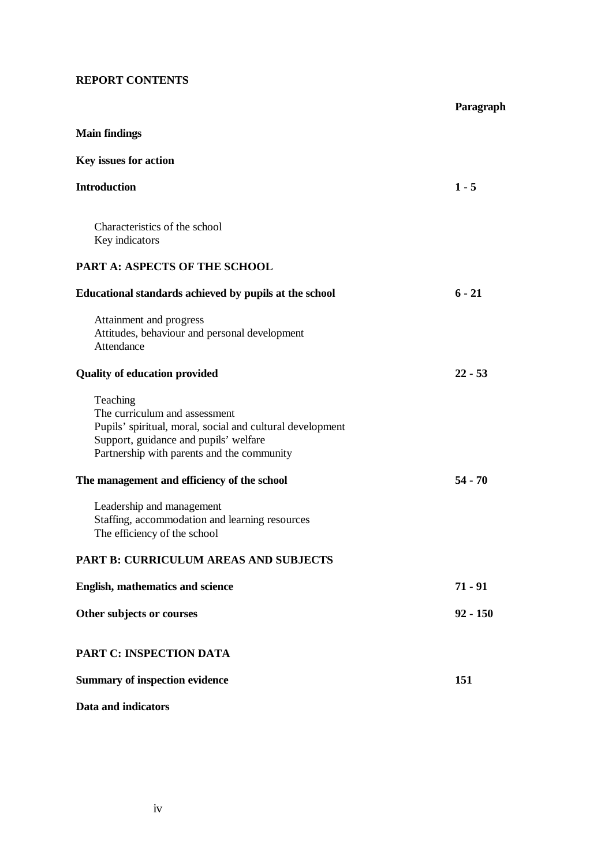## **REPORT CONTENTS**

|                                                                                                                                                                                               | Paragraph  |
|-----------------------------------------------------------------------------------------------------------------------------------------------------------------------------------------------|------------|
| <b>Main findings</b>                                                                                                                                                                          |            |
| Key issues for action                                                                                                                                                                         |            |
| <b>Introduction</b>                                                                                                                                                                           | $1 - 5$    |
| Characteristics of the school<br>Key indicators                                                                                                                                               |            |
| PART A: ASPECTS OF THE SCHOOL                                                                                                                                                                 |            |
| Educational standards achieved by pupils at the school                                                                                                                                        | $6 - 21$   |
| Attainment and progress<br>Attitudes, behaviour and personal development<br>Attendance                                                                                                        |            |
| <b>Quality of education provided</b>                                                                                                                                                          | $22 - 53$  |
| Teaching<br>The curriculum and assessment<br>Pupils' spiritual, moral, social and cultural development<br>Support, guidance and pupils' welfare<br>Partnership with parents and the community |            |
| The management and efficiency of the school                                                                                                                                                   | $54 - 70$  |
| Leadership and management<br>Staffing, accommodation and learning resources<br>The efficiency of the school                                                                                   |            |
| <b>PART B: CURRICULUM AREAS AND SUBJECTS</b>                                                                                                                                                  |            |
| English, mathematics and science                                                                                                                                                              | $71 - 91$  |
| Other subjects or courses                                                                                                                                                                     | $92 - 150$ |
| <b>PART C: INSPECTION DATA</b>                                                                                                                                                                |            |
| <b>Summary of inspection evidence</b>                                                                                                                                                         | 151        |
| Data and indicators                                                                                                                                                                           |            |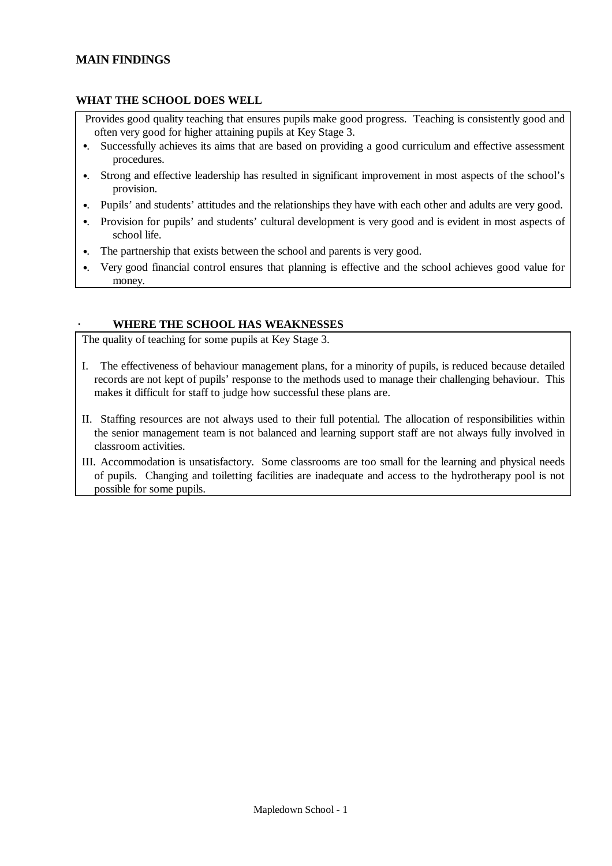# **MAIN FINDINGS**

## **WHAT THE SCHOOL DOES WELL**

- Provides good quality teaching that ensures pupils make good progress. Teaching is consistently good and often very good for higher attaining pupils at Key Stage 3.
- •. Successfully achieves its aims that are based on providing a good curriculum and effective assessment procedures.
- •. Strong and effective leadership has resulted in significant improvement in most aspects of the school's provision.
- •. Pupils' and students' attitudes and the relationships they have with each other and adults are very good.
- •. Provision for pupils' and students' cultural development is very good and is evident in most aspects of school life.
- •. The partnership that exists between the school and parents is very good.
- •. Very good financial control ensures that planning is effective and the school achieves good value for money.

#### · **WHERE THE SCHOOL HAS WEAKNESSES**

The quality of teaching for some pupils at Key Stage 3.

- I. The effectiveness of behaviour management plans, for a minority of pupils, is reduced because detailed records are not kept of pupils' response to the methods used to manage their challenging behaviour. This makes it difficult for staff to judge how successful these plans are.
- II. Staffing resources are not always used to their full potential. The allocation of responsibilities within the senior management team is not balanced and learning support staff are not always fully involved in classroom activities.
- III. Accommodation is unsatisfactory. Some classrooms are too small for the learning and physical needs of pupils. Changing and toiletting facilities are inadequate and access to the hydrotherapy pool is not possible for some pupils.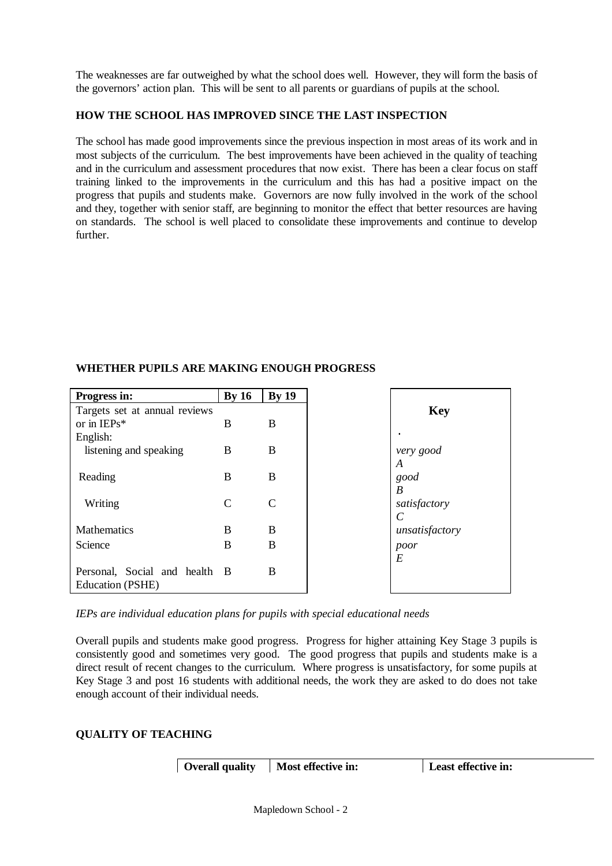The weaknesses are far outweighed by what the school does well. However, they will form the basis of the governors' action plan. This will be sent to all parents or guardians of pupils at the school.

## **HOW THE SCHOOL HAS IMPROVED SINCE THE LAST INSPECTION**

The school has made good improvements since the previous inspection in most areas of its work and in most subjects of the curriculum. The best improvements have been achieved in the quality of teaching and in the curriculum and assessment procedures that now exist. There has been a clear focus on staff training linked to the improvements in the curriculum and this has had a positive impact on the progress that pupils and students make. Governors are now fully involved in the work of the school and they, together with senior staff, are beginning to monitor the effect that better resources are having on standards. The school is well placed to consolidate these improvements and continue to develop further.

| Progress in:                  | By 16 | <b>By 19</b>  |
|-------------------------------|-------|---------------|
| Targets set at annual reviews |       |               |
| or in $IEPs*$                 | B     | B             |
| English:                      |       |               |
| listening and speaking        | B     | B             |
|                               |       |               |
| Reading                       | B     | B             |
|                               |       |               |
| Writing                       | C     | $\mathcal{C}$ |
|                               |       |               |
| Mathematics                   | B     | B             |
| Science                       | B     | B             |
|                               |       |               |
| Personal, Social and health B |       | B             |
| Education (PSHE)              |       |               |

# **WHETHER PUPILS ARE MAKING ENOUGH PROGRESS**

*IEPs are individual education plans for pupils with special educational needs*

Overall pupils and students make good progress. Progress for higher attaining Key Stage 3 pupils is consistently good and sometimes very good. The good progress that pupils and students make is a direct result of recent changes to the curriculum. Where progress is unsatisfactory, for some pupils at Key Stage 3 and post 16 students with additional needs, the work they are asked to do does not take enough account of their individual needs.

# **QUALITY OF TEACHING**

**Overall quality** Most effective in: **Least effective in:**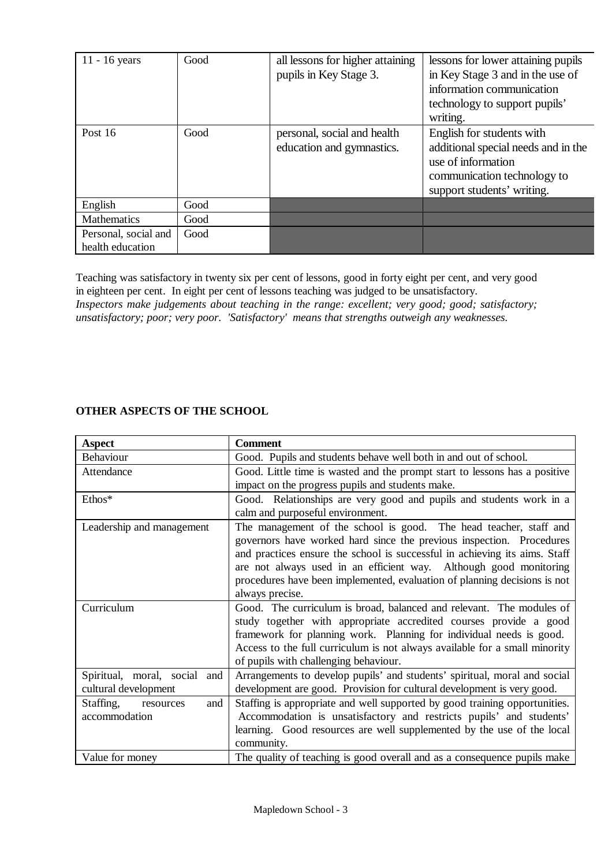| $11 - 16$ years                          | Good | all lessons for higher attaining<br>pupils in Key Stage 3. | lessons for lower attaining pupils<br>in Key Stage 3 and in the use of<br>information communication<br>technology to support pupils'<br>writing.    |
|------------------------------------------|------|------------------------------------------------------------|-----------------------------------------------------------------------------------------------------------------------------------------------------|
| Post $16$                                | Good | personal, social and health<br>education and gymnastics.   | English for students with<br>additional special needs and in the<br>use of information<br>communication technology to<br>support students' writing. |
| English                                  | Good |                                                            |                                                                                                                                                     |
| <b>Mathematics</b>                       | Good |                                                            |                                                                                                                                                     |
| Personal, social and<br>health education | Good |                                                            |                                                                                                                                                     |

Teaching was satisfactory in twenty six per cent of lessons, good in forty eight per cent, and very good in eighteen per cent. In eight per cent of lessons teaching was judged to be unsatisfactory. *Inspectors make judgements about teaching in the range: excellent; very good; good; satisfactory; unsatisfactory; poor; very poor. 'Satisfactory' means that strengths outweigh any weaknesses.* 

## **OTHER ASPECTS OF THE SCHOOL**

| <b>Aspect</b>                 | <b>Comment</b>                                                             |  |  |
|-------------------------------|----------------------------------------------------------------------------|--|--|
| Behaviour                     | Good. Pupils and students behave well both in and out of school.           |  |  |
| Attendance                    | Good. Little time is wasted and the prompt start to lessons has a positive |  |  |
|                               | impact on the progress pupils and students make.                           |  |  |
| Ethos*                        | Good. Relationships are very good and pupils and students work in a        |  |  |
|                               | calm and purposeful environment.                                           |  |  |
| Leadership and management     | The management of the school is good. The head teacher, staff and          |  |  |
|                               | governors have worked hard since the previous inspection. Procedures       |  |  |
|                               | and practices ensure the school is successful in achieving its aims. Staff |  |  |
|                               | are not always used in an efficient way. Although good monitoring          |  |  |
|                               | procedures have been implemented, evaluation of planning decisions is not  |  |  |
|                               | always precise.                                                            |  |  |
| Curriculum                    | Good. The curriculum is broad, balanced and relevant. The modules of       |  |  |
|                               | study together with appropriate accredited courses provide a good          |  |  |
|                               | framework for planning work. Planning for individual needs is good.        |  |  |
|                               | Access to the full curriculum is not always available for a small minority |  |  |
|                               | of pupils with challenging behaviour.                                      |  |  |
| Spiritual, moral, social and  | Arrangements to develop pupils' and students' spiritual, moral and social  |  |  |
| cultural development          | development are good. Provision for cultural development is very good.     |  |  |
| Staffing,<br>and<br>resources | Staffing is appropriate and well supported by good training opportunities. |  |  |
| accommodation                 | Accommodation is unsatisfactory and restricts pupils' and students'        |  |  |
|                               | learning. Good resources are well supplemented by the use of the local     |  |  |
|                               | community.                                                                 |  |  |
| Value for money               | The quality of teaching is good overall and as a consequence pupils make   |  |  |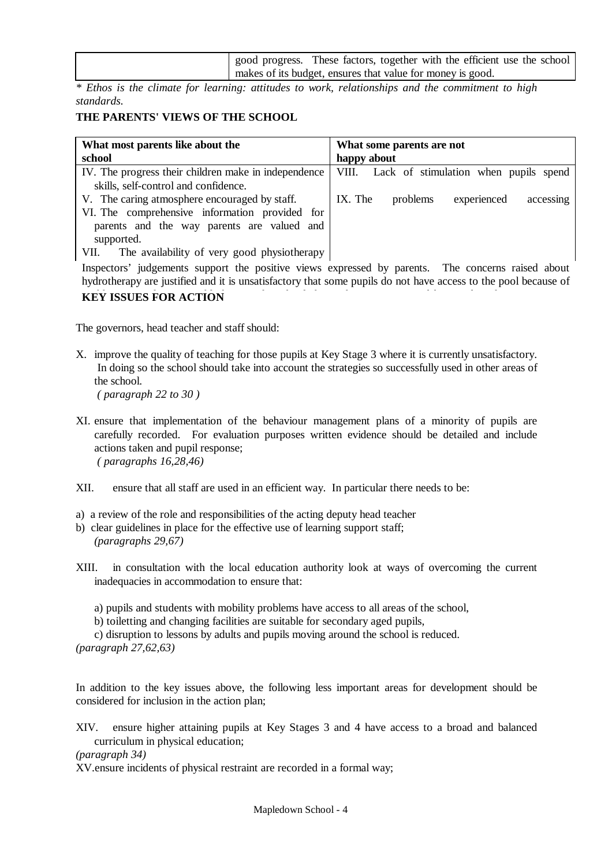| good progress. These factors, together with the efficient use the school |  |  |  |
|--------------------------------------------------------------------------|--|--|--|
| makes of its budget, ensures that value for money is good.               |  |  |  |

*\* Ethos is the climate for learning: attitudes to work, relationships and the commitment to high standards.*

#### **THE PARENTS' VIEWS OF THE SCHOOL**

| What most parents like about the                                                                                                                                                                                   | What some parents are not                       |
|--------------------------------------------------------------------------------------------------------------------------------------------------------------------------------------------------------------------|-------------------------------------------------|
| school                                                                                                                                                                                                             | happy about                                     |
| IV. The progress their children make in independence<br>skills, self-control and confidence.                                                                                                                       | VIII. Lack of stimulation when pupils spend     |
| V. The caring atmosphere encouraged by staff.<br>VI. The comprehensive information provided for<br>parents and the way parents are valued and<br>supported.<br>The availability of very good physiotherapy<br>VII. | IX. The<br>experienced<br>problems<br>accessing |

Inspectors' judgements support the positive views expressed by parents. The concerns raised about hydrotherapy are justified and it is unsatisfactory that some pupils do not have access to the pool because of problems providing a suitable hoist. The school shares these concerns and has tried, without success, to **KEY ISSUES FOR ACTION**

The governors, head teacher and staff should:

- X. improve the quality of teaching for those pupils at Key Stage 3 where it is currently unsatisfactory. In doing so the school should take into account the strategies so successfully used in other areas of the school.  *( paragraph 22 to 30 )*
- XI. ensure that implementation of the behaviour management plans of a minority of pupils are carefully recorded. For evaluation purposes written evidence should be detailed and include actions taken and pupil response;  *( paragraphs 16,28,46)*
- XII. ensure that all staff are used in an efficient way. In particular there needs to be:
- a) a review of the role and responsibilities of the acting deputy head teacher
- b) clear guidelines in place for the effective use of learning support staff; *(paragraphs 29,67)*
- XIII. in consultation with the local education authority look at ways of overcoming the current inadequacies in accommodation to ensure that:
	- a) pupils and students with mobility problems have access to all areas of the school,
	- b) toiletting and changing facilities are suitable for secondary aged pupils,
- c) disruption to lessons by adults and pupils moving around the school is reduced.
- *(paragraph 27,62,63)*

In addition to the key issues above, the following less important areas for development should be considered for inclusion in the action plan;

XIV. ensure higher attaining pupils at Key Stages 3 and 4 have access to a broad and balanced curriculum in physical education;

*(paragraph 34)*

XV.ensure incidents of physical restraint are recorded in a formal way;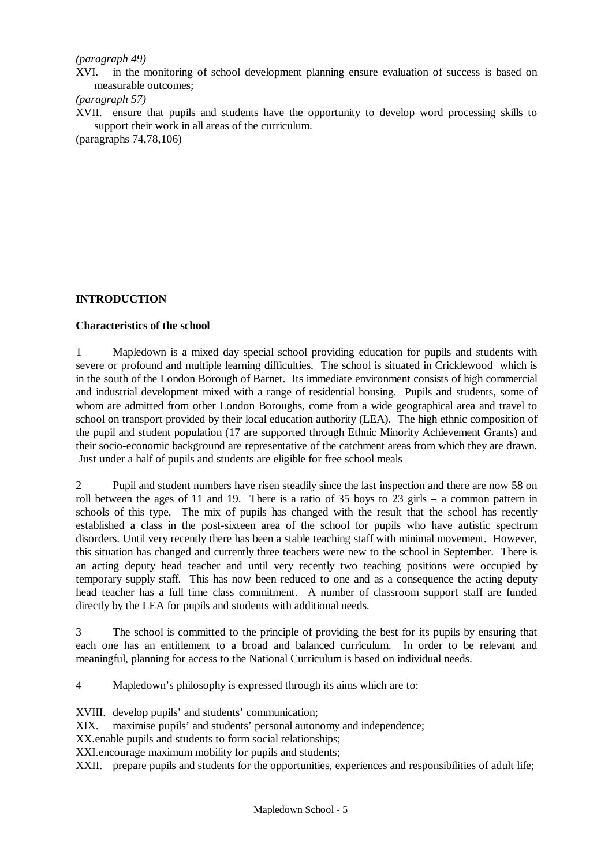#### *(paragraph 49)*

XVI. in the monitoring of school development planning ensure evaluation of success is based on measurable outcomes;

*(paragraph 57)*

XVII. ensure that pupils and students have the opportunity to develop word processing skills to support their work in all areas of the curriculum.

(paragraphs 74,78,106)

## **INTRODUCTION**

#### **Characteristics of the school**

1 Mapledown is a mixed day special school providing education for pupils and students with severe or profound and multiple learning difficulties. The school is situated in Cricklewood which is in the south of the London Borough of Barnet. Its immediate environment consists of high commercial and industrial development mixed with a range of residential housing. Pupils and students, some of whom are admitted from other London Boroughs, come from a wide geographical area and travel to school on transport provided by their local education authority (LEA). The high ethnic composition of the pupil and student population (17 are supported through Ethnic Minority Achievement Grants) and their socio-economic background are representative of the catchment areas from which they are drawn. Just under a half of pupils and students are eligible for free school meals

2 Pupil and student numbers have risen steadily since the last inspection and there are now 58 on roll between the ages of 11 and 19. There is a ratio of 35 boys to 23 girls – a common pattern in schools of this type. The mix of pupils has changed with the result that the school has recently established a class in the post-sixteen area of the school for pupils who have autistic spectrum disorders. Until very recently there has been a stable teaching staff with minimal movement. However, this situation has changed and currently three teachers were new to the school in September. There is an acting deputy head teacher and until very recently two teaching positions were occupied by temporary supply staff. This has now been reduced to one and as a consequence the acting deputy head teacher has a full time class commitment. A number of classroom support staff are funded directly by the LEA for pupils and students with additional needs.

3 The school is committed to the principle of providing the best for its pupils by ensuring that each one has an entitlement to a broad and balanced curriculum. In order to be relevant and meaningful, planning for access to the National Curriculum is based on individual needs.

4 Mapledown's philosophy is expressed through its aims which are to:

XVIII. develop pupils' and students' communication;

XIX. maximise pupils' and students' personal autonomy and independence;

XX.enable pupils and students to form social relationships;

XXI.encourage maximum mobility for pupils and students;

XXII. prepare pupils and students for the opportunities, experiences and responsibilities of adult life;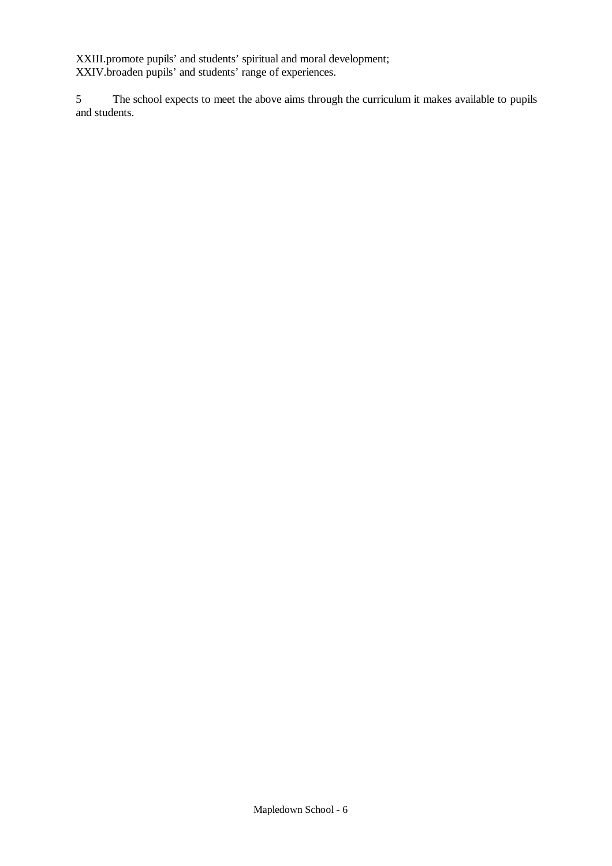XXIII.promote pupils' and students' spiritual and moral development; XXIV.broaden pupils' and students' range of experiences.

5 The school expects to meet the above aims through the curriculum it makes available to pupils and students.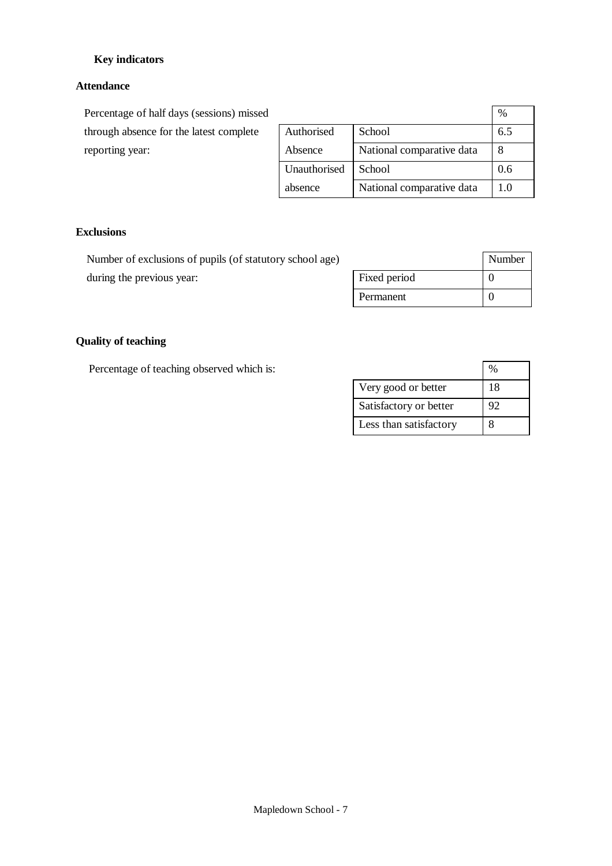# **Key indicators**

# **Attendance**

Percentage of half days (sessions) missed through absence for the latest complete reporting year:

|              |                           | %   |
|--------------|---------------------------|-----|
| Authorised   | School                    | 6.5 |
| Absence      | National comparative data |     |
| Unauthorised | School                    | 0.6 |
| absence      | National comparative data | 10  |

## **Exclusions**

Number of exclusions of pupils (of statutory school age) during the previous year:

|              | Number |
|--------------|--------|
| Fixed period |        |
| Permanent    |        |

# **Quality of teaching**

Percentage of teaching observed which is:

|                        | ‰  |
|------------------------|----|
| Very good or better    | 18 |
| Satisfactory or better | 92 |
| Less than satisfactory |    |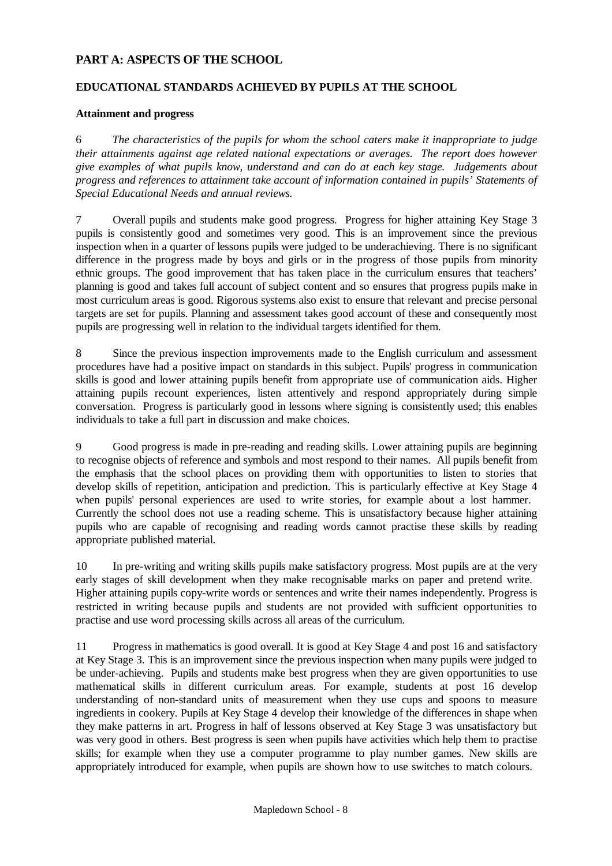# **PART A: ASPECTS OF THE SCHOOL**

## **EDUCATIONAL STANDARDS ACHIEVED BY PUPILS AT THE SCHOOL**

## **Attainment and progress**

6 *The characteristics of the pupils for whom the school caters make it inappropriate to judge their attainments against age related national expectations or averages. The report does however give examples of what pupils know, understand and can do at each key stage. Judgements about progress and references to attainment take account of information contained in pupils' Statements of Special Educational Needs and annual reviews.*

7 Overall pupils and students make good progress. Progress for higher attaining Key Stage 3 pupils is consistently good and sometimes very good. This is an improvement since the previous inspection when in a quarter of lessons pupils were judged to be underachieving. There is no significant difference in the progress made by boys and girls or in the progress of those pupils from minority ethnic groups. The good improvement that has taken place in the curriculum ensures that teachers' planning is good and takes full account of subject content and so ensures that progress pupils make in most curriculum areas is good. Rigorous systems also exist to ensure that relevant and precise personal targets are set for pupils. Planning and assessment takes good account of these and consequently most pupils are progressing well in relation to the individual targets identified for them.

8 Since the previous inspection improvements made to the English curriculum and assessment procedures have had a positive impact on standards in this subject. Pupils' progress in communication skills is good and lower attaining pupils benefit from appropriate use of communication aids. Higher attaining pupils recount experiences, listen attentively and respond appropriately during simple conversation. Progress is particularly good in lessons where signing is consistently used; this enables individuals to take a full part in discussion and make choices.

9 Good progress is made in pre-reading and reading skills. Lower attaining pupils are beginning to recognise objects of reference and symbols and most respond to their names. All pupils benefit from the emphasis that the school places on providing them with opportunities to listen to stories that develop skills of repetition, anticipation and prediction. This is particularly effective at Key Stage 4 when pupils' personal experiences are used to write stories, for example about a lost hammer. Currently the school does not use a reading scheme. This is unsatisfactory because higher attaining pupils who are capable of recognising and reading words cannot practise these skills by reading appropriate published material.

10 In pre-writing and writing skills pupils make satisfactory progress. Most pupils are at the very early stages of skill development when they make recognisable marks on paper and pretend write. Higher attaining pupils copy-write words or sentences and write their names independently. Progress is restricted in writing because pupils and students are not provided with sufficient opportunities to practise and use word processing skills across all areas of the curriculum.

11 Progress in mathematics is good overall. It is good at Key Stage 4 and post 16 and satisfactory at Key Stage 3. This is an improvement since the previous inspection when many pupils were judged to be under-achieving. Pupils and students make best progress when they are given opportunities to use mathematical skills in different curriculum areas. For example, students at post 16 develop understanding of non-standard units of measurement when they use cups and spoons to measure ingredients in cookery. Pupils at Key Stage 4 develop their knowledge of the differences in shape when they make patterns in art. Progress in half of lessons observed at Key Stage 3 was unsatisfactory but was very good in others. Best progress is seen when pupils have activities which help them to practise skills; for example when they use a computer programme to play number games. New skills are appropriately introduced for example, when pupils are shown how to use switches to match colours.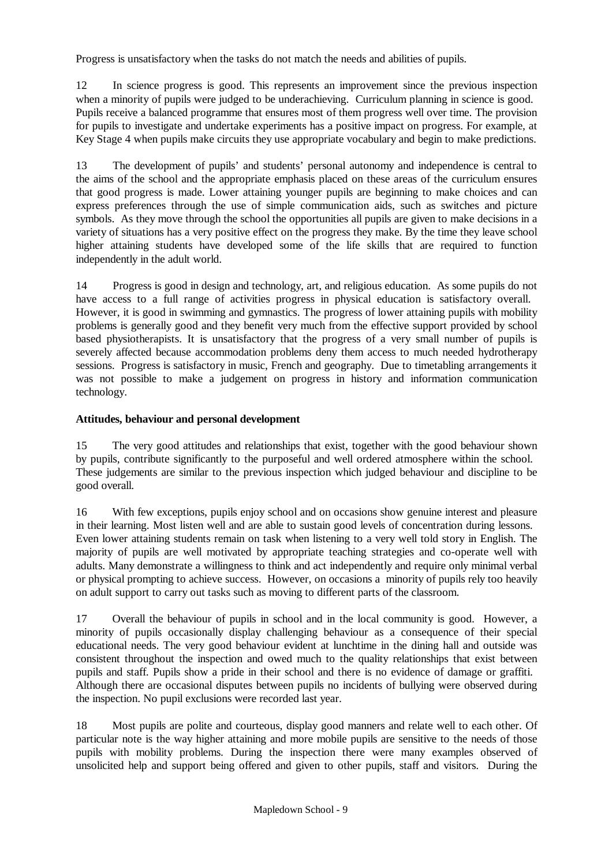Progress is unsatisfactory when the tasks do not match the needs and abilities of pupils.

12 In science progress is good. This represents an improvement since the previous inspection when a minority of pupils were judged to be underachieving. Curriculum planning in science is good. Pupils receive a balanced programme that ensures most of them progress well over time. The provision for pupils to investigate and undertake experiments has a positive impact on progress. For example, at Key Stage 4 when pupils make circuits they use appropriate vocabulary and begin to make predictions.

13 The development of pupils' and students' personal autonomy and independence is central to the aims of the school and the appropriate emphasis placed on these areas of the curriculum ensures that good progress is made. Lower attaining younger pupils are beginning to make choices and can express preferences through the use of simple communication aids, such as switches and picture symbols. As they move through the school the opportunities all pupils are given to make decisions in a variety of situations has a very positive effect on the progress they make. By the time they leave school higher attaining students have developed some of the life skills that are required to function independently in the adult world.

14 Progress is good in design and technology, art, and religious education. As some pupils do not have access to a full range of activities progress in physical education is satisfactory overall. However, it is good in swimming and gymnastics. The progress of lower attaining pupils with mobility problems is generally good and they benefit very much from the effective support provided by school based physiotherapists. It is unsatisfactory that the progress of a very small number of pupils is severely affected because accommodation problems deny them access to much needed hydrotherapy sessions. Progress is satisfactory in music, French and geography. Due to timetabling arrangements it was not possible to make a judgement on progress in history and information communication technology.

# **Attitudes, behaviour and personal development**

15 The very good attitudes and relationships that exist, together with the good behaviour shown by pupils, contribute significantly to the purposeful and well ordered atmosphere within the school. These judgements are similar to the previous inspection which judged behaviour and discipline to be good overall.

16 With few exceptions, pupils enjoy school and on occasions show genuine interest and pleasure in their learning. Most listen well and are able to sustain good levels of concentration during lessons. Even lower attaining students remain on task when listening to a very well told story in English. The majority of pupils are well motivated by appropriate teaching strategies and co-operate well with adults. Many demonstrate a willingness to think and act independently and require only minimal verbal or physical prompting to achieve success. However, on occasions a minority of pupils rely too heavily on adult support to carry out tasks such as moving to different parts of the classroom.

17 Overall the behaviour of pupils in school and in the local community is good. However, a minority of pupils occasionally display challenging behaviour as a consequence of their special educational needs. The very good behaviour evident at lunchtime in the dining hall and outside was consistent throughout the inspection and owed much to the quality relationships that exist between pupils and staff. Pupils show a pride in their school and there is no evidence of damage or graffiti. Although there are occasional disputes between pupils no incidents of bullying were observed during the inspection. No pupil exclusions were recorded last year.

18 Most pupils are polite and courteous, display good manners and relate well to each other. Of particular note is the way higher attaining and more mobile pupils are sensitive to the needs of those pupils with mobility problems. During the inspection there were many examples observed of unsolicited help and support being offered and given to other pupils, staff and visitors. During the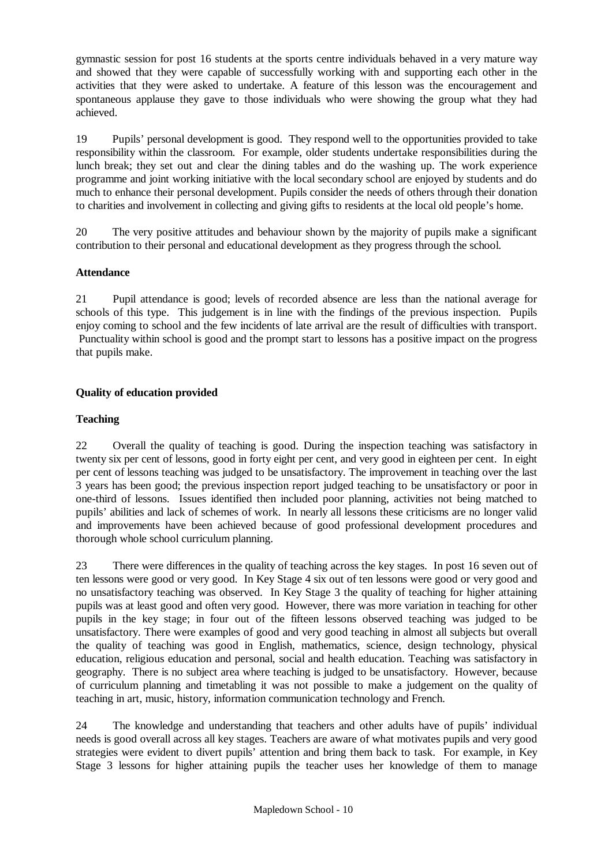gymnastic session for post 16 students at the sports centre individuals behaved in a very mature way and showed that they were capable of successfully working with and supporting each other in the activities that they were asked to undertake. A feature of this lesson was the encouragement and spontaneous applause they gave to those individuals who were showing the group what they had achieved.

19 Pupils' personal development is good. They respond well to the opportunities provided to take responsibility within the classroom. For example, older students undertake responsibilities during the lunch break; they set out and clear the dining tables and do the washing up. The work experience programme and joint working initiative with the local secondary school are enjoyed by students and do much to enhance their personal development. Pupils consider the needs of others through their donation to charities and involvement in collecting and giving gifts to residents at the local old people's home.

20 The very positive attitudes and behaviour shown by the majority of pupils make a significant contribution to their personal and educational development as they progress through the school.

## **Attendance**

21 Pupil attendance is good; levels of recorded absence are less than the national average for schools of this type. This judgement is in line with the findings of the previous inspection. Pupils enjoy coming to school and the few incidents of late arrival are the result of difficulties with transport. Punctuality within school is good and the prompt start to lessons has a positive impact on the progress that pupils make.

## **Quality of education provided**

## **Teaching**

22 Overall the quality of teaching is good. During the inspection teaching was satisfactory in twenty six per cent of lessons, good in forty eight per cent, and very good in eighteen per cent. In eight per cent of lessons teaching was judged to be unsatisfactory. The improvement in teaching over the last 3 years has been good; the previous inspection report judged teaching to be unsatisfactory or poor in one-third of lessons. Issues identified then included poor planning, activities not being matched to pupils' abilities and lack of schemes of work. In nearly all lessons these criticisms are no longer valid and improvements have been achieved because of good professional development procedures and thorough whole school curriculum planning.

23 There were differences in the quality of teaching across the key stages. In post 16 seven out of ten lessons were good or very good. In Key Stage 4 six out of ten lessons were good or very good and no unsatisfactory teaching was observed. In Key Stage 3 the quality of teaching for higher attaining pupils was at least good and often very good. However, there was more variation in teaching for other pupils in the key stage; in four out of the fifteen lessons observed teaching was judged to be unsatisfactory. There were examples of good and very good teaching in almost all subjects but overall the quality of teaching was good in English, mathematics, science, design technology, physical education, religious education and personal, social and health education. Teaching was satisfactory in geography. There is no subject area where teaching is judged to be unsatisfactory. However, because of curriculum planning and timetabling it was not possible to make a judgement on the quality of teaching in art, music, history, information communication technology and French.

24 The knowledge and understanding that teachers and other adults have of pupils' individual needs is good overall across all key stages. Teachers are aware of what motivates pupils and very good strategies were evident to divert pupils' attention and bring them back to task. For example, in Key Stage 3 lessons for higher attaining pupils the teacher uses her knowledge of them to manage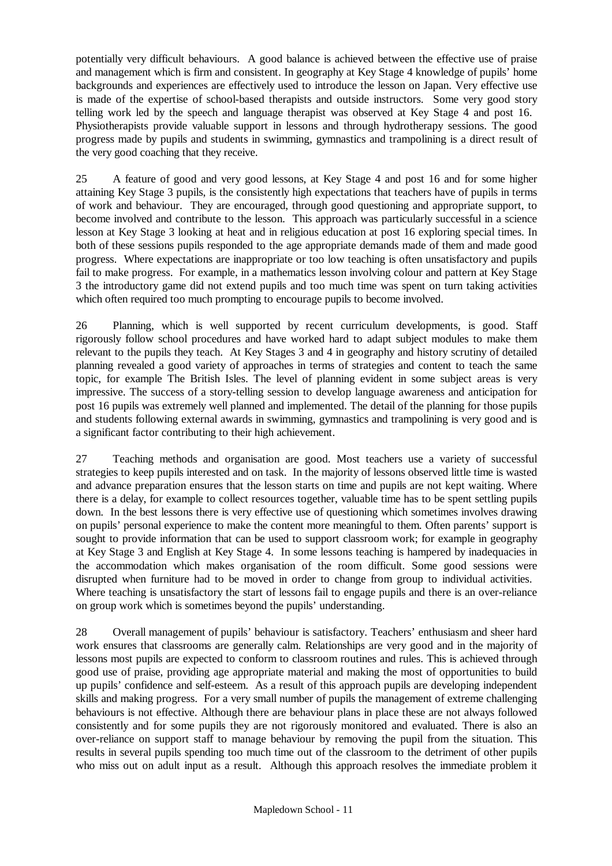potentially very difficult behaviours. A good balance is achieved between the effective use of praise and management which is firm and consistent. In geography at Key Stage 4 knowledge of pupils' home backgrounds and experiences are effectively used to introduce the lesson on Japan. Very effective use is made of the expertise of school-based therapists and outside instructors. Some very good story telling work led by the speech and language therapist was observed at Key Stage 4 and post 16. Physiotherapists provide valuable support in lessons and through hydrotherapy sessions. The good progress made by pupils and students in swimming, gymnastics and trampolining is a direct result of the very good coaching that they receive.

25 A feature of good and very good lessons, at Key Stage 4 and post 16 and for some higher attaining Key Stage 3 pupils, is the consistently high expectations that teachers have of pupils in terms of work and behaviour. They are encouraged, through good questioning and appropriate support, to become involved and contribute to the lesson. This approach was particularly successful in a science lesson at Key Stage 3 looking at heat and in religious education at post 16 exploring special times. In both of these sessions pupils responded to the age appropriate demands made of them and made good progress. Where expectations are inappropriate or too low teaching is often unsatisfactory and pupils fail to make progress. For example, in a mathematics lesson involving colour and pattern at Key Stage 3 the introductory game did not extend pupils and too much time was spent on turn taking activities which often required too much prompting to encourage pupils to become involved.

26 Planning, which is well supported by recent curriculum developments, is good. Staff rigorously follow school procedures and have worked hard to adapt subject modules to make them relevant to the pupils they teach. At Key Stages 3 and 4 in geography and history scrutiny of detailed planning revealed a good variety of approaches in terms of strategies and content to teach the same topic, for example The British Isles. The level of planning evident in some subject areas is very impressive. The success of a story-telling session to develop language awareness and anticipation for post 16 pupils was extremely well planned and implemented. The detail of the planning for those pupils and students following external awards in swimming, gymnastics and trampolining is very good and is a significant factor contributing to their high achievement.

27 Teaching methods and organisation are good. Most teachers use a variety of successful strategies to keep pupils interested and on task. In the majority of lessons observed little time is wasted and advance preparation ensures that the lesson starts on time and pupils are not kept waiting. Where there is a delay, for example to collect resources together, valuable time has to be spent settling pupils down. In the best lessons there is very effective use of questioning which sometimes involves drawing on pupils' personal experience to make the content more meaningful to them. Often parents' support is sought to provide information that can be used to support classroom work; for example in geography at Key Stage 3 and English at Key Stage 4. In some lessons teaching is hampered by inadequacies in the accommodation which makes organisation of the room difficult. Some good sessions were disrupted when furniture had to be moved in order to change from group to individual activities. Where teaching is unsatisfactory the start of lessons fail to engage pupils and there is an over-reliance on group work which is sometimes beyond the pupils' understanding.

28 Overall management of pupils' behaviour is satisfactory. Teachers' enthusiasm and sheer hard work ensures that classrooms are generally calm. Relationships are very good and in the majority of lessons most pupils are expected to conform to classroom routines and rules. This is achieved through good use of praise, providing age appropriate material and making the most of opportunities to build up pupils' confidence and self-esteem. As a result of this approach pupils are developing independent skills and making progress. For a very small number of pupils the management of extreme challenging behaviours is not effective. Although there are behaviour plans in place these are not always followed consistently and for some pupils they are not rigorously monitored and evaluated. There is also an over-reliance on support staff to manage behaviour by removing the pupil from the situation. This results in several pupils spending too much time out of the classroom to the detriment of other pupils who miss out on adult input as a result. Although this approach resolves the immediate problem it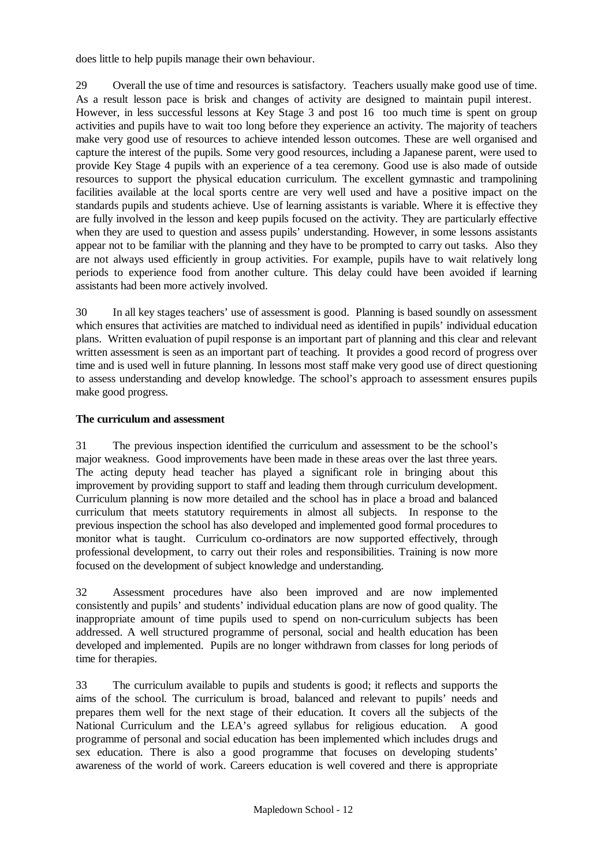does little to help pupils manage their own behaviour.

29 Overall the use of time and resources is satisfactory. Teachers usually make good use of time. As a result lesson pace is brisk and changes of activity are designed to maintain pupil interest. However, in less successful lessons at Key Stage 3 and post 16 too much time is spent on group activities and pupils have to wait too long before they experience an activity. The majority of teachers make very good use of resources to achieve intended lesson outcomes. These are well organised and capture the interest of the pupils. Some very good resources, including a Japanese parent, were used to provide Key Stage 4 pupils with an experience of a tea ceremony. Good use is also made of outside resources to support the physical education curriculum. The excellent gymnastic and trampolining facilities available at the local sports centre are very well used and have a positive impact on the standards pupils and students achieve. Use of learning assistants is variable. Where it is effective they are fully involved in the lesson and keep pupils focused on the activity. They are particularly effective when they are used to question and assess pupils' understanding. However, in some lessons assistants appear not to be familiar with the planning and they have to be prompted to carry out tasks. Also they are not always used efficiently in group activities. For example, pupils have to wait relatively long periods to experience food from another culture. This delay could have been avoided if learning assistants had been more actively involved.

30 In all key stages teachers' use of assessment is good. Planning is based soundly on assessment which ensures that activities are matched to individual need as identified in pupils' individual education plans. Written evaluation of pupil response is an important part of planning and this clear and relevant written assessment is seen as an important part of teaching. It provides a good record of progress over time and is used well in future planning. In lessons most staff make very good use of direct questioning to assess understanding and develop knowledge. The school's approach to assessment ensures pupils make good progress.

#### **The curriculum and assessment**

31 The previous inspection identified the curriculum and assessment to be the school's major weakness. Good improvements have been made in these areas over the last three years. The acting deputy head teacher has played a significant role in bringing about this improvement by providing support to staff and leading them through curriculum development. Curriculum planning is now more detailed and the school has in place a broad and balanced curriculum that meets statutory requirements in almost all subjects. In response to the previous inspection the school has also developed and implemented good formal procedures to monitor what is taught. Curriculum co-ordinators are now supported effectively, through professional development, to carry out their roles and responsibilities. Training is now more focused on the development of subject knowledge and understanding.

32 Assessment procedures have also been improved and are now implemented consistently and pupils' and students' individual education plans are now of good quality. The inappropriate amount of time pupils used to spend on non-curriculum subjects has been addressed. A well structured programme of personal, social and health education has been developed and implemented. Pupils are no longer withdrawn from classes for long periods of time for therapies.

33 The curriculum available to pupils and students is good; it reflects and supports the aims of the school. The curriculum is broad, balanced and relevant to pupils' needs and prepares them well for the next stage of their education. It covers all the subjects of the National Curriculum and the LEA's agreed syllabus for religious education. A good programme of personal and social education has been implemented which includes drugs and sex education. There is also a good programme that focuses on developing students' awareness of the world of work. Careers education is well covered and there is appropriate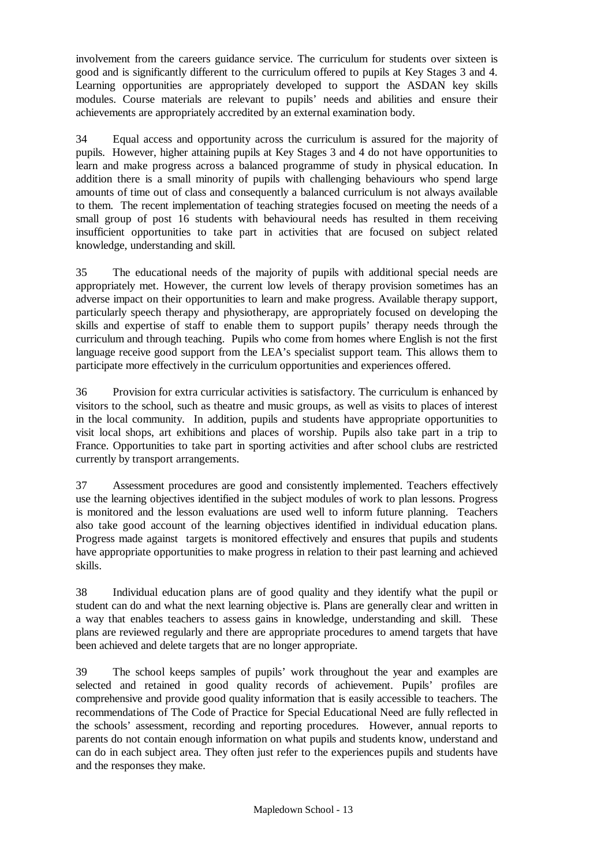involvement from the careers guidance service. The curriculum for students over sixteen is good and is significantly different to the curriculum offered to pupils at Key Stages 3 and 4. Learning opportunities are appropriately developed to support the ASDAN key skills modules. Course materials are relevant to pupils' needs and abilities and ensure their achievements are appropriately accredited by an external examination body.

34 Equal access and opportunity across the curriculum is assured for the majority of pupils. However, higher attaining pupils at Key Stages 3 and 4 do not have opportunities to learn and make progress across a balanced programme of study in physical education. In addition there is a small minority of pupils with challenging behaviours who spend large amounts of time out of class and consequently a balanced curriculum is not always available to them. The recent implementation of teaching strategies focused on meeting the needs of a small group of post 16 students with behavioural needs has resulted in them receiving insufficient opportunities to take part in activities that are focused on subject related knowledge, understanding and skill.

35 The educational needs of the majority of pupils with additional special needs are appropriately met. However, the current low levels of therapy provision sometimes has an adverse impact on their opportunities to learn and make progress. Available therapy support, particularly speech therapy and physiotherapy, are appropriately focused on developing the skills and expertise of staff to enable them to support pupils' therapy needs through the curriculum and through teaching. Pupils who come from homes where English is not the first language receive good support from the LEA's specialist support team. This allows them to participate more effectively in the curriculum opportunities and experiences offered.

36 Provision for extra curricular activities is satisfactory. The curriculum is enhanced by visitors to the school, such as theatre and music groups, as well as visits to places of interest in the local community. In addition, pupils and students have appropriate opportunities to visit local shops, art exhibitions and places of worship. Pupils also take part in a trip to France. Opportunities to take part in sporting activities and after school clubs are restricted currently by transport arrangements.

37 Assessment procedures are good and consistently implemented. Teachers effectively use the learning objectives identified in the subject modules of work to plan lessons. Progress is monitored and the lesson evaluations are used well to inform future planning. Teachers also take good account of the learning objectives identified in individual education plans. Progress made against targets is monitored effectively and ensures that pupils and students have appropriate opportunities to make progress in relation to their past learning and achieved skills.

38 Individual education plans are of good quality and they identify what the pupil or student can do and what the next learning objective is. Plans are generally clear and written in a way that enables teachers to assess gains in knowledge, understanding and skill. These plans are reviewed regularly and there are appropriate procedures to amend targets that have been achieved and delete targets that are no longer appropriate.

39 The school keeps samples of pupils' work throughout the year and examples are selected and retained in good quality records of achievement. Pupils' profiles are comprehensive and provide good quality information that is easily accessible to teachers. The recommendations of The Code of Practice for Special Educational Need are fully reflected in the schools' assessment, recording and reporting procedures. However, annual reports to parents do not contain enough information on what pupils and students know, understand and can do in each subject area. They often just refer to the experiences pupils and students have and the responses they make.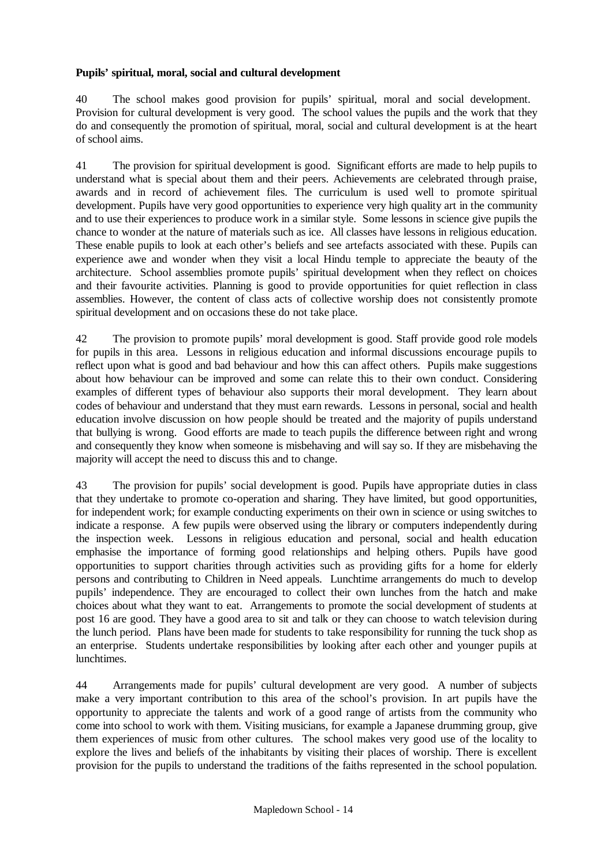## **Pupils' spiritual, moral, social and cultural development**

40 The school makes good provision for pupils' spiritual, moral and social development. Provision for cultural development is very good. The school values the pupils and the work that they do and consequently the promotion of spiritual, moral, social and cultural development is at the heart of school aims.

41 The provision for spiritual development is good. Significant efforts are made to help pupils to understand what is special about them and their peers. Achievements are celebrated through praise, awards and in record of achievement files. The curriculum is used well to promote spiritual development. Pupils have very good opportunities to experience very high quality art in the community and to use their experiences to produce work in a similar style. Some lessons in science give pupils the chance to wonder at the nature of materials such as ice. All classes have lessons in religious education. These enable pupils to look at each other's beliefs and see artefacts associated with these. Pupils can experience awe and wonder when they visit a local Hindu temple to appreciate the beauty of the architecture. School assemblies promote pupils' spiritual development when they reflect on choices and their favourite activities. Planning is good to provide opportunities for quiet reflection in class assemblies. However, the content of class acts of collective worship does not consistently promote spiritual development and on occasions these do not take place.

42 The provision to promote pupils' moral development is good. Staff provide good role models for pupils in this area. Lessons in religious education and informal discussions encourage pupils to reflect upon what is good and bad behaviour and how this can affect others. Pupils make suggestions about how behaviour can be improved and some can relate this to their own conduct. Considering examples of different types of behaviour also supports their moral development. They learn about codes of behaviour and understand that they must earn rewards. Lessons in personal, social and health education involve discussion on how people should be treated and the majority of pupils understand that bullying is wrong. Good efforts are made to teach pupils the difference between right and wrong and consequently they know when someone is misbehaving and will say so. If they are misbehaving the majority will accept the need to discuss this and to change.

43 The provision for pupils' social development is good. Pupils have appropriate duties in class that they undertake to promote co-operation and sharing. They have limited, but good opportunities, for independent work; for example conducting experiments on their own in science or using switches to indicate a response. A few pupils were observed using the library or computers independently during the inspection week. Lessons in religious education and personal, social and health education emphasise the importance of forming good relationships and helping others. Pupils have good opportunities to support charities through activities such as providing gifts for a home for elderly persons and contributing to Children in Need appeals. Lunchtime arrangements do much to develop pupils' independence. They are encouraged to collect their own lunches from the hatch and make choices about what they want to eat. Arrangements to promote the social development of students at post 16 are good. They have a good area to sit and talk or they can choose to watch television during the lunch period. Plans have been made for students to take responsibility for running the tuck shop as an enterprise. Students undertake responsibilities by looking after each other and younger pupils at lunchtimes.

44 Arrangements made for pupils' cultural development are very good. A number of subjects make a very important contribution to this area of the school's provision. In art pupils have the opportunity to appreciate the talents and work of a good range of artists from the community who come into school to work with them. Visiting musicians, for example a Japanese drumming group, give them experiences of music from other cultures. The school makes very good use of the locality to explore the lives and beliefs of the inhabitants by visiting their places of worship. There is excellent provision for the pupils to understand the traditions of the faiths represented in the school population.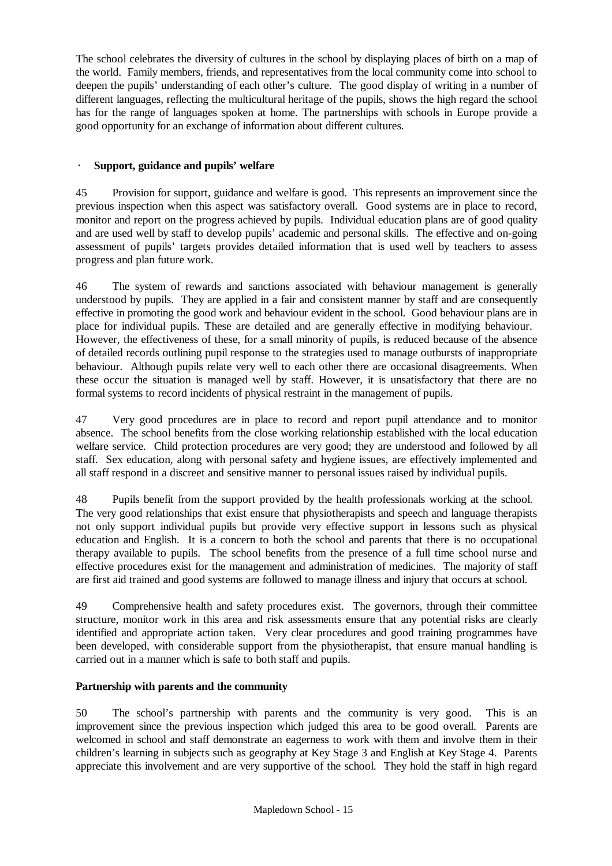The school celebrates the diversity of cultures in the school by displaying places of birth on a map of the world. Family members, friends, and representatives from the local community come into school to deepen the pupils' understanding of each other's culture. The good display of writing in a number of different languages, reflecting the multicultural heritage of the pupils, shows the high regard the school has for the range of languages spoken at home. The partnerships with schools in Europe provide a good opportunity for an exchange of information about different cultures.

## · **Support, guidance and pupils' welfare**

45 Provision for support, guidance and welfare is good. This represents an improvement since the previous inspection when this aspect was satisfactory overall. Good systems are in place to record, monitor and report on the progress achieved by pupils. Individual education plans are of good quality and are used well by staff to develop pupils' academic and personal skills. The effective and on-going assessment of pupils' targets provides detailed information that is used well by teachers to assess progress and plan future work.

46 The system of rewards and sanctions associated with behaviour management is generally understood by pupils. They are applied in a fair and consistent manner by staff and are consequently effective in promoting the good work and behaviour evident in the school. Good behaviour plans are in place for individual pupils. These are detailed and are generally effective in modifying behaviour. However, the effectiveness of these, for a small minority of pupils, is reduced because of the absence of detailed records outlining pupil response to the strategies used to manage outbursts of inappropriate behaviour. Although pupils relate very well to each other there are occasional disagreements. When these occur the situation is managed well by staff. However, it is unsatisfactory that there are no formal systems to record incidents of physical restraint in the management of pupils.

47 Very good procedures are in place to record and report pupil attendance and to monitor absence. The school benefits from the close working relationship established with the local education welfare service. Child protection procedures are very good; they are understood and followed by all staff. Sex education, along with personal safety and hygiene issues, are effectively implemented and all staff respond in a discreet and sensitive manner to personal issues raised by individual pupils.

48 Pupils benefit from the support provided by the health professionals working at the school. The very good relationships that exist ensure that physiotherapists and speech and language therapists not only support individual pupils but provide very effective support in lessons such as physical education and English. It is a concern to both the school and parents that there is no occupational therapy available to pupils. The school benefits from the presence of a full time school nurse and effective procedures exist for the management and administration of medicines. The majority of staff are first aid trained and good systems are followed to manage illness and injury that occurs at school.

49 Comprehensive health and safety procedures exist. The governors, through their committee structure, monitor work in this area and risk assessments ensure that any potential risks are clearly identified and appropriate action taken. Very clear procedures and good training programmes have been developed, with considerable support from the physiotherapist, that ensure manual handling is carried out in a manner which is safe to both staff and pupils.

## **Partnership with parents and the community**

50 The school's partnership with parents and the community is very good. This is an improvement since the previous inspection which judged this area to be good overall. Parents are welcomed in school and staff demonstrate an eagerness to work with them and involve them in their children's learning in subjects such as geography at Key Stage 3 and English at Key Stage 4. Parents appreciate this involvement and are very supportive of the school. They hold the staff in high regard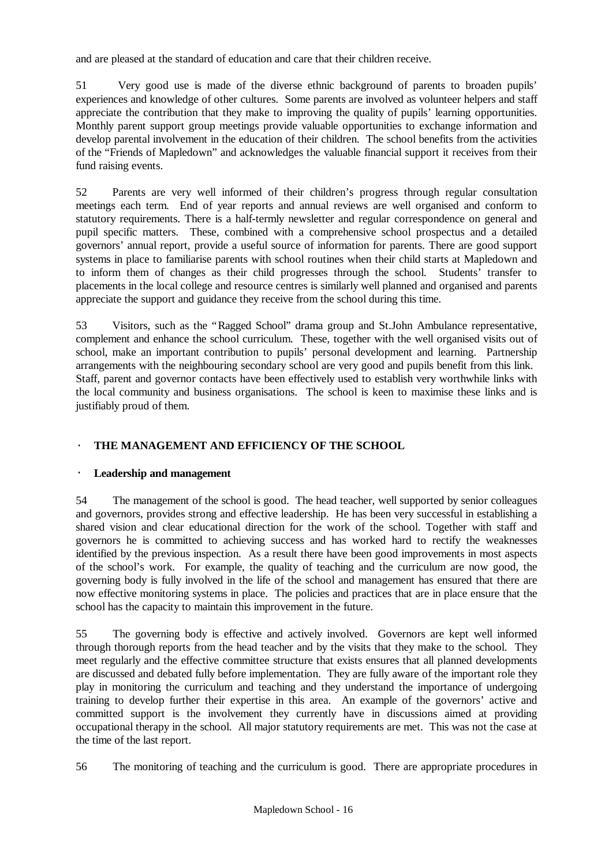and are pleased at the standard of education and care that their children receive.

51 Very good use is made of the diverse ethnic background of parents to broaden pupils' experiences and knowledge of other cultures. Some parents are involved as volunteer helpers and staff appreciate the contribution that they make to improving the quality of pupils' learning opportunities. Monthly parent support group meetings provide valuable opportunities to exchange information and develop parental involvement in the education of their children. The school benefits from the activities of the "Friends of Mapledown" and acknowledges the valuable financial support it receives from their fund raising events.

52 Parents are very well informed of their children's progress through regular consultation meetings each term. End of year reports and annual reviews are well organised and conform to statutory requirements. There is a half-termly newsletter and regular correspondence on general and pupil specific matters. These, combined with a comprehensive school prospectus and a detailed governors' annual report, provide a useful source of information for parents. There are good support systems in place to familiarise parents with school routines when their child starts at Mapledown and to inform them of changes as their child progresses through the school. Students' transfer to placements in the local college and resource centres is similarly well planned and organised and parents appreciate the support and guidance they receive from the school during this time.

53 Visitors, such as the "Ragged School" drama group and St.John Ambulance representative, complement and enhance the school curriculum. These, together with the well organised visits out of school, make an important contribution to pupils' personal development and learning. Partnership arrangements with the neighbouring secondary school are very good and pupils benefit from this link. Staff, parent and governor contacts have been effectively used to establish very worthwhile links with the local community and business organisations. The school is keen to maximise these links and is justifiably proud of them.

# · **THE MANAGEMENT AND EFFICIENCY OF THE SCHOOL**

## Leadership and management

54 The management of the school is good. The head teacher, well supported by senior colleagues and governors, provides strong and effective leadership. He has been very successful in establishing a shared vision and clear educational direction for the work of the school. Together with staff and governors he is committed to achieving success and has worked hard to rectify the weaknesses identified by the previous inspection. As a result there have been good improvements in most aspects of the school's work. For example, the quality of teaching and the curriculum are now good, the governing body is fully involved in the life of the school and management has ensured that there are now effective monitoring systems in place. The policies and practices that are in place ensure that the school has the capacity to maintain this improvement in the future.

55 The governing body is effective and actively involved. Governors are kept well informed through thorough reports from the head teacher and by the visits that they make to the school. They meet regularly and the effective committee structure that exists ensures that all planned developments are discussed and debated fully before implementation. They are fully aware of the important role they play in monitoring the curriculum and teaching and they understand the importance of undergoing training to develop further their expertise in this area. An example of the governors' active and committed support is the involvement they currently have in discussions aimed at providing occupational therapy in the school. All major statutory requirements are met. This was not the case at the time of the last report.

56 The monitoring of teaching and the curriculum is good. There are appropriate procedures in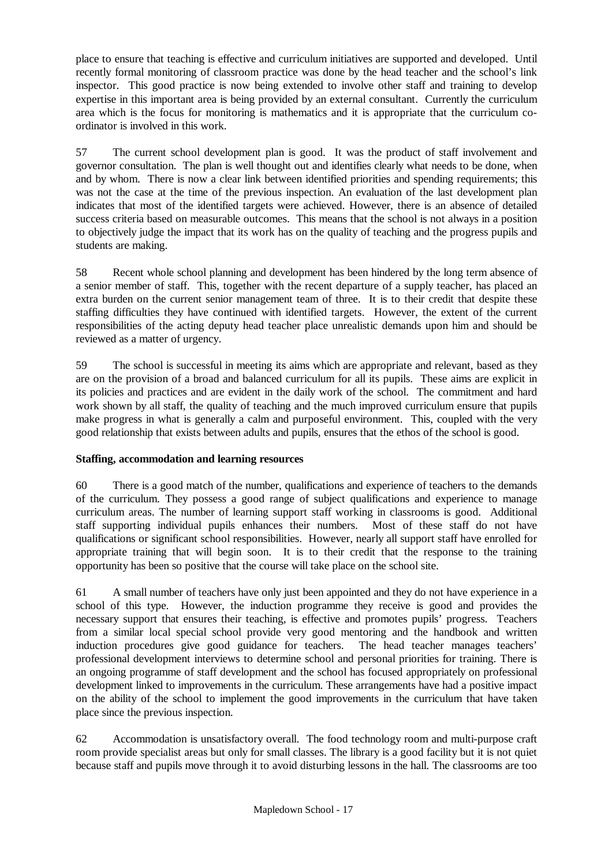place to ensure that teaching is effective and curriculum initiatives are supported and developed. Until recently formal monitoring of classroom practice was done by the head teacher and the school's link inspector. This good practice is now being extended to involve other staff and training to develop expertise in this important area is being provided by an external consultant. Currently the curriculum area which is the focus for monitoring is mathematics and it is appropriate that the curriculum coordinator is involved in this work.

57 The current school development plan is good. It was the product of staff involvement and governor consultation. The plan is well thought out and identifies clearly what needs to be done, when and by whom. There is now a clear link between identified priorities and spending requirements; this was not the case at the time of the previous inspection. An evaluation of the last development plan indicates that most of the identified targets were achieved. However, there is an absence of detailed success criteria based on measurable outcomes. This means that the school is not always in a position to objectively judge the impact that its work has on the quality of teaching and the progress pupils and students are making.

58 Recent whole school planning and development has been hindered by the long term absence of a senior member of staff. This, together with the recent departure of a supply teacher, has placed an extra burden on the current senior management team of three. It is to their credit that despite these staffing difficulties they have continued with identified targets. However, the extent of the current responsibilities of the acting deputy head teacher place unrealistic demands upon him and should be reviewed as a matter of urgency.

59 The school is successful in meeting its aims which are appropriate and relevant, based as they are on the provision of a broad and balanced curriculum for all its pupils. These aims are explicit in its policies and practices and are evident in the daily work of the school. The commitment and hard work shown by all staff, the quality of teaching and the much improved curriculum ensure that pupils make progress in what is generally a calm and purposeful environment. This, coupled with the very good relationship that exists between adults and pupils, ensures that the ethos of the school is good.

# **Staffing, accommodation and learning resources**

60 There is a good match of the number, qualifications and experience of teachers to the demands of the curriculum. They possess a good range of subject qualifications and experience to manage curriculum areas. The number of learning support staff working in classrooms is good. Additional staff supporting individual pupils enhances their numbers. Most of these staff do not have qualifications or significant school responsibilities. However, nearly all support staff have enrolled for appropriate training that will begin soon. It is to their credit that the response to the training opportunity has been so positive that the course will take place on the school site.

61 A small number of teachers have only just been appointed and they do not have experience in a school of this type. However, the induction programme they receive is good and provides the necessary support that ensures their teaching, is effective and promotes pupils' progress. Teachers from a similar local special school provide very good mentoring and the handbook and written induction procedures give good guidance for teachers. The head teacher manages teachers' professional development interviews to determine school and personal priorities for training. There is an ongoing programme of staff development and the school has focused appropriately on professional development linked to improvements in the curriculum. These arrangements have had a positive impact on the ability of the school to implement the good improvements in the curriculum that have taken place since the previous inspection.

62 Accommodation is unsatisfactory overall. The food technology room and multi-purpose craft room provide specialist areas but only for small classes. The library is a good facility but it is not quiet because staff and pupils move through it to avoid disturbing lessons in the hall. The classrooms are too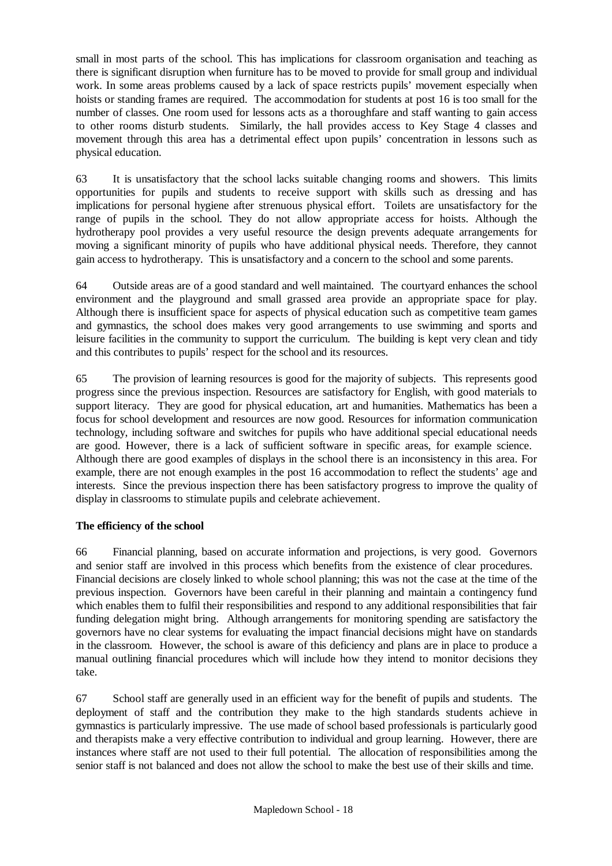small in most parts of the school. This has implications for classroom organisation and teaching as there is significant disruption when furniture has to be moved to provide for small group and individual work. In some areas problems caused by a lack of space restricts pupils' movement especially when hoists or standing frames are required. The accommodation for students at post 16 is too small for the number of classes. One room used for lessons acts as a thoroughfare and staff wanting to gain access to other rooms disturb students. Similarly, the hall provides access to Key Stage 4 classes and movement through this area has a detrimental effect upon pupils' concentration in lessons such as physical education.

63 It is unsatisfactory that the school lacks suitable changing rooms and showers. This limits opportunities for pupils and students to receive support with skills such as dressing and has implications for personal hygiene after strenuous physical effort. Toilets are unsatisfactory for the range of pupils in the school. They do not allow appropriate access for hoists. Although the hydrotherapy pool provides a very useful resource the design prevents adequate arrangements for moving a significant minority of pupils who have additional physical needs. Therefore, they cannot gain access to hydrotherapy. This is unsatisfactory and a concern to the school and some parents.

64 Outside areas are of a good standard and well maintained. The courtyard enhances the school environment and the playground and small grassed area provide an appropriate space for play. Although there is insufficient space for aspects of physical education such as competitive team games and gymnastics, the school does makes very good arrangements to use swimming and sports and leisure facilities in the community to support the curriculum. The building is kept very clean and tidy and this contributes to pupils' respect for the school and its resources.

65 The provision of learning resources is good for the majority of subjects. This represents good progress since the previous inspection. Resources are satisfactory for English, with good materials to support literacy. They are good for physical education, art and humanities. Mathematics has been a focus for school development and resources are now good. Resources for information communication technology, including software and switches for pupils who have additional special educational needs are good. However, there is a lack of sufficient software in specific areas, for example science. Although there are good examples of displays in the school there is an inconsistency in this area. For example, there are not enough examples in the post 16 accommodation to reflect the students' age and interests. Since the previous inspection there has been satisfactory progress to improve the quality of display in classrooms to stimulate pupils and celebrate achievement.

## **The efficiency of the school**

66 Financial planning, based on accurate information and projections, is very good. Governors and senior staff are involved in this process which benefits from the existence of clear procedures. Financial decisions are closely linked to whole school planning; this was not the case at the time of the previous inspection. Governors have been careful in their planning and maintain a contingency fund which enables them to fulfil their responsibilities and respond to any additional responsibilities that fair funding delegation might bring. Although arrangements for monitoring spending are satisfactory the governors have no clear systems for evaluating the impact financial decisions might have on standards in the classroom. However, the school is aware of this deficiency and plans are in place to produce a manual outlining financial procedures which will include how they intend to monitor decisions they take.

67 School staff are generally used in an efficient way for the benefit of pupils and students. The deployment of staff and the contribution they make to the high standards students achieve in gymnastics is particularly impressive. The use made of school based professionals is particularly good and therapists make a very effective contribution to individual and group learning. However, there are instances where staff are not used to their full potential. The allocation of responsibilities among the senior staff is not balanced and does not allow the school to make the best use of their skills and time.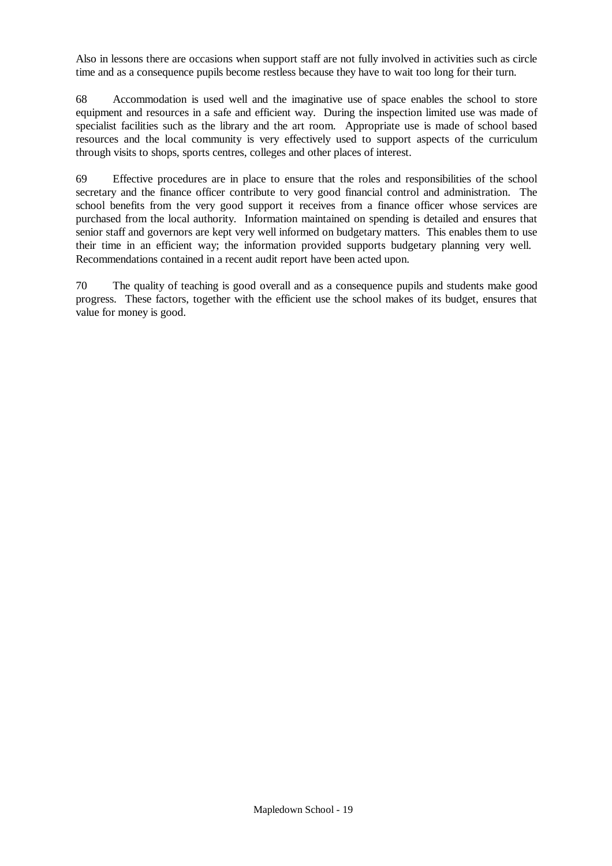Also in lessons there are occasions when support staff are not fully involved in activities such as circle time and as a consequence pupils become restless because they have to wait too long for their turn.

68 Accommodation is used well and the imaginative use of space enables the school to store equipment and resources in a safe and efficient way. During the inspection limited use was made of specialist facilities such as the library and the art room. Appropriate use is made of school based resources and the local community is very effectively used to support aspects of the curriculum through visits to shops, sports centres, colleges and other places of interest.

69 Effective procedures are in place to ensure that the roles and responsibilities of the school secretary and the finance officer contribute to very good financial control and administration. The school benefits from the very good support it receives from a finance officer whose services are purchased from the local authority. Information maintained on spending is detailed and ensures that senior staff and governors are kept very well informed on budgetary matters. This enables them to use their time in an efficient way; the information provided supports budgetary planning very well. Recommendations contained in a recent audit report have been acted upon.

70 The quality of teaching is good overall and as a consequence pupils and students make good progress. These factors, together with the efficient use the school makes of its budget, ensures that value for money is good.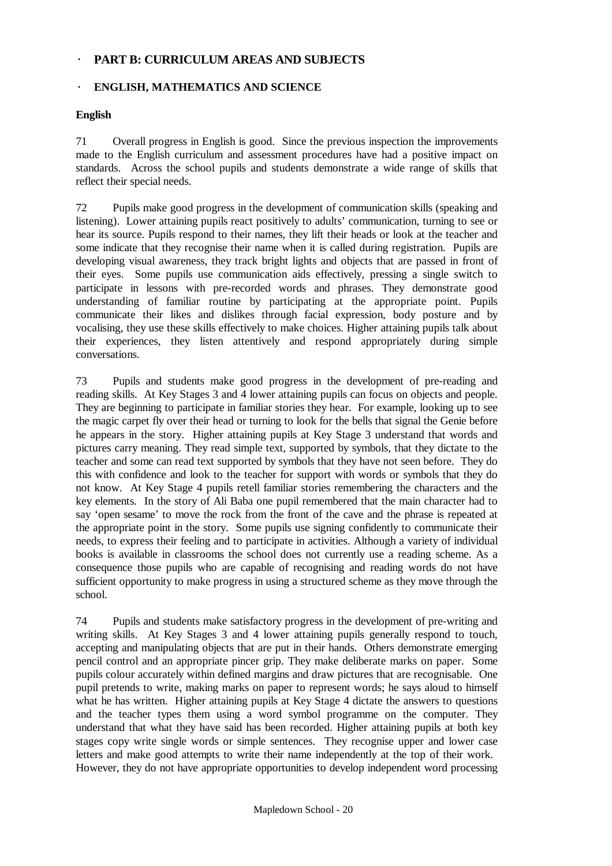# · **PART B: CURRICULUM AREAS AND SUBJECTS**

## · **ENGLISH, MATHEMATICS AND SCIENCE**

#### **English**

71 Overall progress in English is good. Since the previous inspection the improvements made to the English curriculum and assessment procedures have had a positive impact on standards. Across the school pupils and students demonstrate a wide range of skills that reflect their special needs.

72 Pupils make good progress in the development of communication skills (speaking and listening). Lower attaining pupils react positively to adults' communication, turning to see or hear its source. Pupils respond to their names, they lift their heads or look at the teacher and some indicate that they recognise their name when it is called during registration. Pupils are developing visual awareness, they track bright lights and objects that are passed in front of their eyes. Some pupils use communication aids effectively, pressing a single switch to participate in lessons with pre-recorded words and phrases. They demonstrate good understanding of familiar routine by participating at the appropriate point. Pupils communicate their likes and dislikes through facial expression, body posture and by vocalising, they use these skills effectively to make choices. Higher attaining pupils talk about their experiences, they listen attentively and respond appropriately during simple conversations.

73 Pupils and students make good progress in the development of pre-reading and reading skills. At Key Stages 3 and 4 lower attaining pupils can focus on objects and people. They are beginning to participate in familiar stories they hear. For example, looking up to see the magic carpet fly over their head or turning to look for the bells that signal the Genie before he appears in the story. Higher attaining pupils at Key Stage 3 understand that words and pictures carry meaning. They read simple text, supported by symbols, that they dictate to the teacher and some can read text supported by symbols that they have not seen before. They do this with confidence and look to the teacher for support with words or symbols that they do not know. At Key Stage 4 pupils retell familiar stories remembering the characters and the key elements. In the story of Ali Baba one pupil remembered that the main character had to say 'open sesame' to move the rock from the front of the cave and the phrase is repeated at the appropriate point in the story. Some pupils use signing confidently to communicate their needs, to express their feeling and to participate in activities. Although a variety of individual books is available in classrooms the school does not currently use a reading scheme. As a consequence those pupils who are capable of recognising and reading words do not have sufficient opportunity to make progress in using a structured scheme as they move through the school.

74 Pupils and students make satisfactory progress in the development of pre-writing and writing skills. At Key Stages 3 and 4 lower attaining pupils generally respond to touch, accepting and manipulating objects that are put in their hands. Others demonstrate emerging pencil control and an appropriate pincer grip. They make deliberate marks on paper. Some pupils colour accurately within defined margins and draw pictures that are recognisable. One pupil pretends to write, making marks on paper to represent words; he says aloud to himself what he has written. Higher attaining pupils at Key Stage 4 dictate the answers to questions and the teacher types them using a word symbol programme on the computer. They understand that what they have said has been recorded. Higher attaining pupils at both key stages copy write single words or simple sentences. They recognise upper and lower case letters and make good attempts to write their name independently at the top of their work. However, they do not have appropriate opportunities to develop independent word processing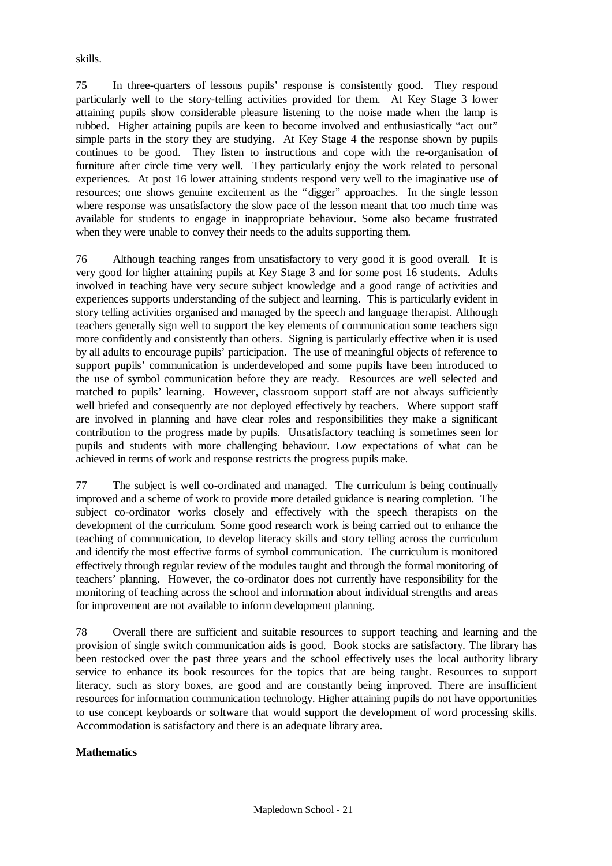skills.

75 In three-quarters of lessons pupils' response is consistently good. They respond particularly well to the story-telling activities provided for them. At Key Stage 3 lower attaining pupils show considerable pleasure listening to the noise made when the lamp is rubbed. Higher attaining pupils are keen to become involved and enthusiastically "act out" simple parts in the story they are studying. At Key Stage 4 the response shown by pupils continues to be good. They listen to instructions and cope with the re-organisation of furniture after circle time very well. They particularly enjoy the work related to personal experiences. At post 16 lower attaining students respond very well to the imaginative use of resources; one shows genuine excitement as the "digger" approaches. In the single lesson where response was unsatisfactory the slow pace of the lesson meant that too much time was available for students to engage in inappropriate behaviour. Some also became frustrated when they were unable to convey their needs to the adults supporting them.

76 Although teaching ranges from unsatisfactory to very good it is good overall. It is very good for higher attaining pupils at Key Stage 3 and for some post 16 students. Adults involved in teaching have very secure subject knowledge and a good range of activities and experiences supports understanding of the subject and learning. This is particularly evident in story telling activities organised and managed by the speech and language therapist. Although teachers generally sign well to support the key elements of communication some teachers sign more confidently and consistently than others. Signing is particularly effective when it is used by all adults to encourage pupils' participation. The use of meaningful objects of reference to support pupils' communication is underdeveloped and some pupils have been introduced to the use of symbol communication before they are ready. Resources are well selected and matched to pupils' learning. However, classroom support staff are not always sufficiently well briefed and consequently are not deployed effectively by teachers. Where support staff are involved in planning and have clear roles and responsibilities they make a significant contribution to the progress made by pupils. Unsatisfactory teaching is sometimes seen for pupils and students with more challenging behaviour. Low expectations of what can be achieved in terms of work and response restricts the progress pupils make.

77 The subject is well co-ordinated and managed. The curriculum is being continually improved and a scheme of work to provide more detailed guidance is nearing completion. The subject co-ordinator works closely and effectively with the speech therapists on the development of the curriculum. Some good research work is being carried out to enhance the teaching of communication, to develop literacy skills and story telling across the curriculum and identify the most effective forms of symbol communication. The curriculum is monitored effectively through regular review of the modules taught and through the formal monitoring of teachers' planning. However, the co-ordinator does not currently have responsibility for the monitoring of teaching across the school and information about individual strengths and areas for improvement are not available to inform development planning.

78 Overall there are sufficient and suitable resources to support teaching and learning and the provision of single switch communication aids is good. Book stocks are satisfactory. The library has been restocked over the past three years and the school effectively uses the local authority library service to enhance its book resources for the topics that are being taught. Resources to support literacy, such as story boxes, are good and are constantly being improved. There are insufficient resources for information communication technology. Higher attaining pupils do not have opportunities to use concept keyboards or software that would support the development of word processing skills. Accommodation is satisfactory and there is an adequate library area.

#### **Mathematics**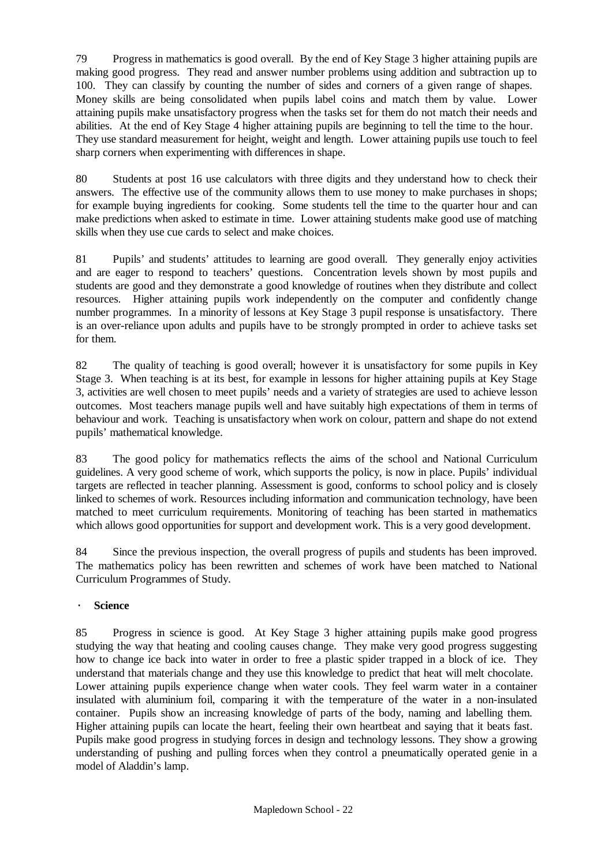79 Progress in mathematics is good overall. By the end of Key Stage 3 higher attaining pupils are making good progress. They read and answer number problems using addition and subtraction up to 100. They can classify by counting the number of sides and corners of a given range of shapes. Money skills are being consolidated when pupils label coins and match them by value. Lower attaining pupils make unsatisfactory progress when the tasks set for them do not match their needs and abilities. At the end of Key Stage 4 higher attaining pupils are beginning to tell the time to the hour. They use standard measurement for height, weight and length. Lower attaining pupils use touch to feel sharp corners when experimenting with differences in shape.

80 Students at post 16 use calculators with three digits and they understand how to check their answers. The effective use of the community allows them to use money to make purchases in shops; for example buying ingredients for cooking. Some students tell the time to the quarter hour and can make predictions when asked to estimate in time. Lower attaining students make good use of matching skills when they use cue cards to select and make choices.

81 Pupils' and students' attitudes to learning are good overall. They generally enjoy activities and are eager to respond to teachers' questions. Concentration levels shown by most pupils and students are good and they demonstrate a good knowledge of routines when they distribute and collect resources. Higher attaining pupils work independently on the computer and confidently change number programmes. In a minority of lessons at Key Stage 3 pupil response is unsatisfactory. There is an over-reliance upon adults and pupils have to be strongly prompted in order to achieve tasks set for them.

82 The quality of teaching is good overall; however it is unsatisfactory for some pupils in Key Stage 3. When teaching is at its best, for example in lessons for higher attaining pupils at Key Stage 3, activities are well chosen to meet pupils' needs and a variety of strategies are used to achieve lesson outcomes. Most teachers manage pupils well and have suitably high expectations of them in terms of behaviour and work. Teaching is unsatisfactory when work on colour, pattern and shape do not extend pupils' mathematical knowledge.

83 The good policy for mathematics reflects the aims of the school and National Curriculum guidelines. A very good scheme of work, which supports the policy, is now in place. Pupils' individual targets are reflected in teacher planning. Assessment is good, conforms to school policy and is closely linked to schemes of work. Resources including information and communication technology, have been matched to meet curriculum requirements. Monitoring of teaching has been started in mathematics which allows good opportunities for support and development work. This is a very good development.

84 Since the previous inspection, the overall progress of pupils and students has been improved. The mathematics policy has been rewritten and schemes of work have been matched to National Curriculum Programmes of Study.

# · **Science**

85 Progress in science is good. At Key Stage 3 higher attaining pupils make good progress studying the way that heating and cooling causes change. They make very good progress suggesting how to change ice back into water in order to free a plastic spider trapped in a block of ice. They understand that materials change and they use this knowledge to predict that heat will melt chocolate. Lower attaining pupils experience change when water cools. They feel warm water in a container insulated with aluminium foil, comparing it with the temperature of the water in a non-insulated container. Pupils show an increasing knowledge of parts of the body, naming and labelling them. Higher attaining pupils can locate the heart, feeling their own heartbeat and saying that it beats fast. Pupils make good progress in studying forces in design and technology lessons. They show a growing understanding of pushing and pulling forces when they control a pneumatically operated genie in a model of Aladdin's lamp.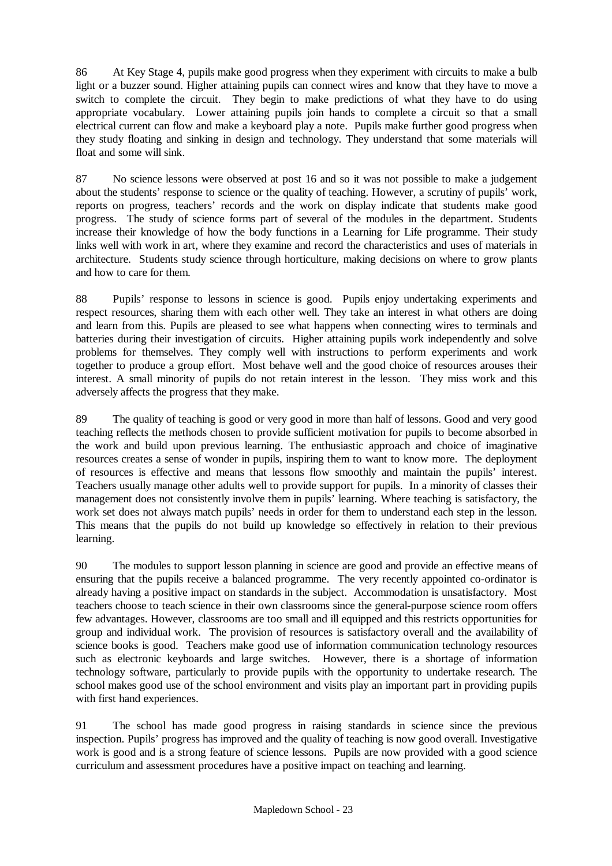86 At Key Stage 4, pupils make good progress when they experiment with circuits to make a bulb light or a buzzer sound. Higher attaining pupils can connect wires and know that they have to move a switch to complete the circuit. They begin to make predictions of what they have to do using appropriate vocabulary. Lower attaining pupils join hands to complete a circuit so that a small electrical current can flow and make a keyboard play a note. Pupils make further good progress when they study floating and sinking in design and technology. They understand that some materials will float and some will sink.

87 No science lessons were observed at post 16 and so it was not possible to make a judgement about the students' response to science or the quality of teaching. However, a scrutiny of pupils' work, reports on progress, teachers' records and the work on display indicate that students make good progress. The study of science forms part of several of the modules in the department. Students increase their knowledge of how the body functions in a Learning for Life programme. Their study links well with work in art, where they examine and record the characteristics and uses of materials in architecture. Students study science through horticulture, making decisions on where to grow plants and how to care for them.

88 Pupils' response to lessons in science is good. Pupils enjoy undertaking experiments and respect resources, sharing them with each other well. They take an interest in what others are doing and learn from this. Pupils are pleased to see what happens when connecting wires to terminals and batteries during their investigation of circuits. Higher attaining pupils work independently and solve problems for themselves. They comply well with instructions to perform experiments and work together to produce a group effort. Most behave well and the good choice of resources arouses their interest. A small minority of pupils do not retain interest in the lesson. They miss work and this adversely affects the progress that they make.

89 The quality of teaching is good or very good in more than half of lessons. Good and very good teaching reflects the methods chosen to provide sufficient motivation for pupils to become absorbed in the work and build upon previous learning. The enthusiastic approach and choice of imaginative resources creates a sense of wonder in pupils, inspiring them to want to know more. The deployment of resources is effective and means that lessons flow smoothly and maintain the pupils' interest. Teachers usually manage other adults well to provide support for pupils. In a minority of classes their management does not consistently involve them in pupils' learning. Where teaching is satisfactory, the work set does not always match pupils' needs in order for them to understand each step in the lesson. This means that the pupils do not build up knowledge so effectively in relation to their previous learning.

90 The modules to support lesson planning in science are good and provide an effective means of ensuring that the pupils receive a balanced programme. The very recently appointed co-ordinator is already having a positive impact on standards in the subject. Accommodation is unsatisfactory. Most teachers choose to teach science in their own classrooms since the general-purpose science room offers few advantages. However, classrooms are too small and ill equipped and this restricts opportunities for group and individual work. The provision of resources is satisfactory overall and the availability of science books is good. Teachers make good use of information communication technology resources such as electronic keyboards and large switches. However, there is a shortage of information technology software, particularly to provide pupils with the opportunity to undertake research. The school makes good use of the school environment and visits play an important part in providing pupils with first hand experiences.

91 The school has made good progress in raising standards in science since the previous inspection. Pupils' progress has improved and the quality of teaching is now good overall. Investigative work is good and is a strong feature of science lessons. Pupils are now provided with a good science curriculum and assessment procedures have a positive impact on teaching and learning.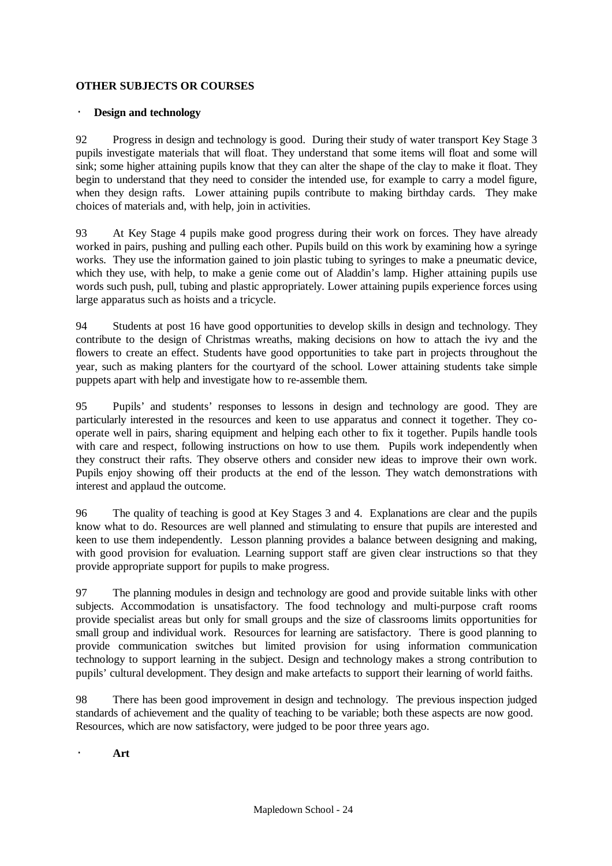#### **OTHER SUBJECTS OR COURSES**

#### · **Design and technology**

92 Progress in design and technology is good. During their study of water transport Key Stage 3 pupils investigate materials that will float. They understand that some items will float and some will sink; some higher attaining pupils know that they can alter the shape of the clay to make it float. They begin to understand that they need to consider the intended use, for example to carry a model figure, when they design rafts. Lower attaining pupils contribute to making birthday cards. They make choices of materials and, with help, join in activities.

93 At Key Stage 4 pupils make good progress during their work on forces. They have already worked in pairs, pushing and pulling each other. Pupils build on this work by examining how a syringe works. They use the information gained to join plastic tubing to syringes to make a pneumatic device, which they use, with help, to make a genie come out of Aladdin's lamp. Higher attaining pupils use words such push, pull, tubing and plastic appropriately. Lower attaining pupils experience forces using large apparatus such as hoists and a tricycle.

94 Students at post 16 have good opportunities to develop skills in design and technology. They contribute to the design of Christmas wreaths, making decisions on how to attach the ivy and the flowers to create an effect. Students have good opportunities to take part in projects throughout the year, such as making planters for the courtyard of the school. Lower attaining students take simple puppets apart with help and investigate how to re-assemble them.

95 Pupils' and students' responses to lessons in design and technology are good. They are particularly interested in the resources and keen to use apparatus and connect it together. They cooperate well in pairs, sharing equipment and helping each other to fix it together. Pupils handle tools with care and respect, following instructions on how to use them. Pupils work independently when they construct their rafts. They observe others and consider new ideas to improve their own work. Pupils enjoy showing off their products at the end of the lesson. They watch demonstrations with interest and applaud the outcome.

96 The quality of teaching is good at Key Stages 3 and 4. Explanations are clear and the pupils know what to do. Resources are well planned and stimulating to ensure that pupils are interested and keen to use them independently. Lesson planning provides a balance between designing and making, with good provision for evaluation. Learning support staff are given clear instructions so that they provide appropriate support for pupils to make progress.

97 The planning modules in design and technology are good and provide suitable links with other subjects. Accommodation is unsatisfactory. The food technology and multi-purpose craft rooms provide specialist areas but only for small groups and the size of classrooms limits opportunities for small group and individual work. Resources for learning are satisfactory. There is good planning to provide communication switches but limited provision for using information communication technology to support learning in the subject. Design and technology makes a strong contribution to pupils' cultural development. They design and make artefacts to support their learning of world faiths.

98 There has been good improvement in design and technology. The previous inspection judged standards of achievement and the quality of teaching to be variable; both these aspects are now good. Resources, which are now satisfactory, were judged to be poor three years ago.

· **Art**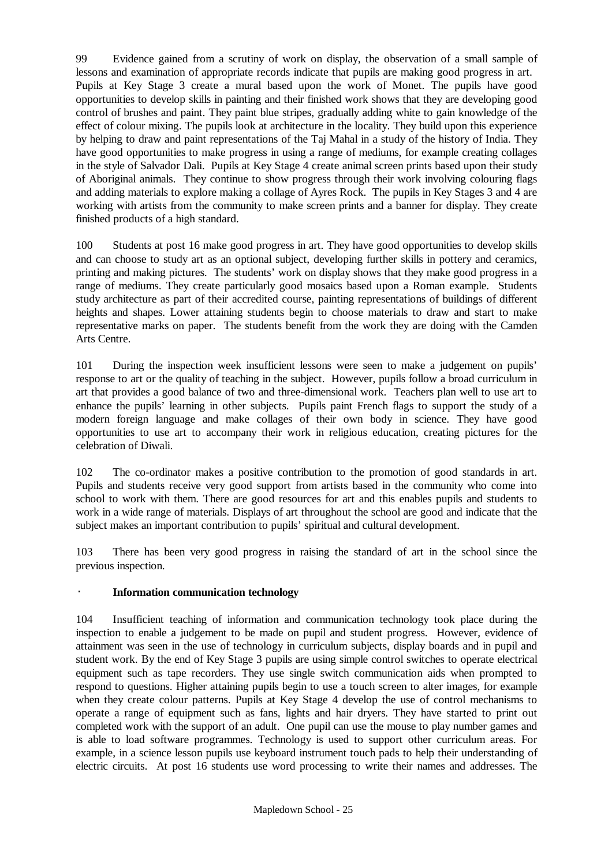99 Evidence gained from a scrutiny of work on display, the observation of a small sample of lessons and examination of appropriate records indicate that pupils are making good progress in art. Pupils at Key Stage 3 create a mural based upon the work of Monet. The pupils have good opportunities to develop skills in painting and their finished work shows that they are developing good control of brushes and paint. They paint blue stripes, gradually adding white to gain knowledge of the effect of colour mixing. The pupils look at architecture in the locality. They build upon this experience by helping to draw and paint representations of the Taj Mahal in a study of the history of India. They have good opportunities to make progress in using a range of mediums, for example creating collages in the style of Salvador Dali. Pupils at Key Stage 4 create animal screen prints based upon their study of Aboriginal animals. They continue to show progress through their work involving colouring flags and adding materials to explore making a collage of Ayres Rock. The pupils in Key Stages 3 and 4 are working with artists from the community to make screen prints and a banner for display. They create finished products of a high standard.

100 Students at post 16 make good progress in art. They have good opportunities to develop skills and can choose to study art as an optional subject, developing further skills in pottery and ceramics, printing and making pictures. The students' work on display shows that they make good progress in a range of mediums. They create particularly good mosaics based upon a Roman example. Students study architecture as part of their accredited course, painting representations of buildings of different heights and shapes. Lower attaining students begin to choose materials to draw and start to make representative marks on paper. The students benefit from the work they are doing with the Camden Arts Centre.

101 During the inspection week insufficient lessons were seen to make a judgement on pupils' response to art or the quality of teaching in the subject. However, pupils follow a broad curriculum in art that provides a good balance of two and three-dimensional work. Teachers plan well to use art to enhance the pupils' learning in other subjects. Pupils paint French flags to support the study of a modern foreign language and make collages of their own body in science. They have good opportunities to use art to accompany their work in religious education, creating pictures for the celebration of Diwali.

102 The co-ordinator makes a positive contribution to the promotion of good standards in art. Pupils and students receive very good support from artists based in the community who come into school to work with them. There are good resources for art and this enables pupils and students to work in a wide range of materials. Displays of art throughout the school are good and indicate that the subject makes an important contribution to pupils' spiritual and cultural development.

103 There has been very good progress in raising the standard of art in the school since the previous inspection.

## · **Information communication technology**

104 Insufficient teaching of information and communication technology took place during the inspection to enable a judgement to be made on pupil and student progress. However, evidence of attainment was seen in the use of technology in curriculum subjects, display boards and in pupil and student work. By the end of Key Stage 3 pupils are using simple control switches to operate electrical equipment such as tape recorders. They use single switch communication aids when prompted to respond to questions. Higher attaining pupils begin to use a touch screen to alter images, for example when they create colour patterns. Pupils at Key Stage 4 develop the use of control mechanisms to operate a range of equipment such as fans, lights and hair dryers. They have started to print out completed work with the support of an adult. One pupil can use the mouse to play number games and is able to load software programmes. Technology is used to support other curriculum areas. For example, in a science lesson pupils use keyboard instrument touch pads to help their understanding of electric circuits. At post 16 students use word processing to write their names and addresses. The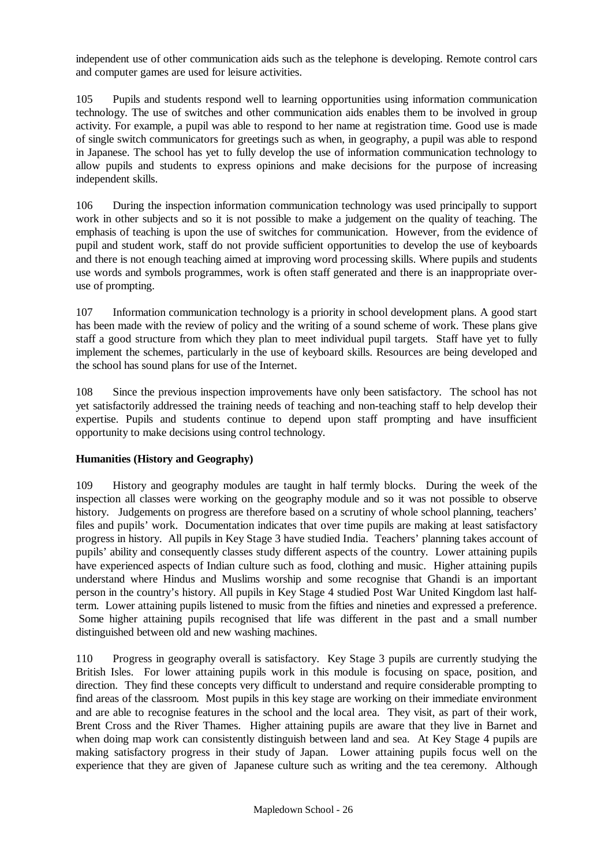independent use of other communication aids such as the telephone is developing. Remote control cars and computer games are used for leisure activities.

105 Pupils and students respond well to learning opportunities using information communication technology. The use of switches and other communication aids enables them to be involved in group activity. For example, a pupil was able to respond to her name at registration time. Good use is made of single switch communicators for greetings such as when, in geography, a pupil was able to respond in Japanese. The school has yet to fully develop the use of information communication technology to allow pupils and students to express opinions and make decisions for the purpose of increasing independent skills.

106 During the inspection information communication technology was used principally to support work in other subjects and so it is not possible to make a judgement on the quality of teaching. The emphasis of teaching is upon the use of switches for communication. However, from the evidence of pupil and student work, staff do not provide sufficient opportunities to develop the use of keyboards and there is not enough teaching aimed at improving word processing skills. Where pupils and students use words and symbols programmes, work is often staff generated and there is an inappropriate overuse of prompting.

107 Information communication technology is a priority in school development plans. A good start has been made with the review of policy and the writing of a sound scheme of work. These plans give staff a good structure from which they plan to meet individual pupil targets. Staff have yet to fully implement the schemes, particularly in the use of keyboard skills. Resources are being developed and the school has sound plans for use of the Internet.

108 Since the previous inspection improvements have only been satisfactory. The school has not yet satisfactorily addressed the training needs of teaching and non-teaching staff to help develop their expertise. Pupils and students continue to depend upon staff prompting and have insufficient opportunity to make decisions using control technology.

## **Humanities (History and Geography)**

109 History and geography modules are taught in half termly blocks. During the week of the inspection all classes were working on the geography module and so it was not possible to observe history. Judgements on progress are therefore based on a scrutiny of whole school planning, teachers' files and pupils' work. Documentation indicates that over time pupils are making at least satisfactory progress in history. All pupils in Key Stage 3 have studied India. Teachers' planning takes account of pupils' ability and consequently classes study different aspects of the country. Lower attaining pupils have experienced aspects of Indian culture such as food, clothing and music. Higher attaining pupils understand where Hindus and Muslims worship and some recognise that Ghandi is an important person in the country's history. All pupils in Key Stage 4 studied Post War United Kingdom last halfterm. Lower attaining pupils listened to music from the fifties and nineties and expressed a preference. Some higher attaining pupils recognised that life was different in the past and a small number distinguished between old and new washing machines.

110 Progress in geography overall is satisfactory. Key Stage 3 pupils are currently studying the British Isles. For lower attaining pupils work in this module is focusing on space, position, and direction. They find these concepts very difficult to understand and require considerable prompting to find areas of the classroom. Most pupils in this key stage are working on their immediate environment and are able to recognise features in the school and the local area. They visit, as part of their work, Brent Cross and the River Thames. Higher attaining pupils are aware that they live in Barnet and when doing map work can consistently distinguish between land and sea. At Key Stage 4 pupils are making satisfactory progress in their study of Japan. Lower attaining pupils focus well on the experience that they are given of Japanese culture such as writing and the tea ceremony. Although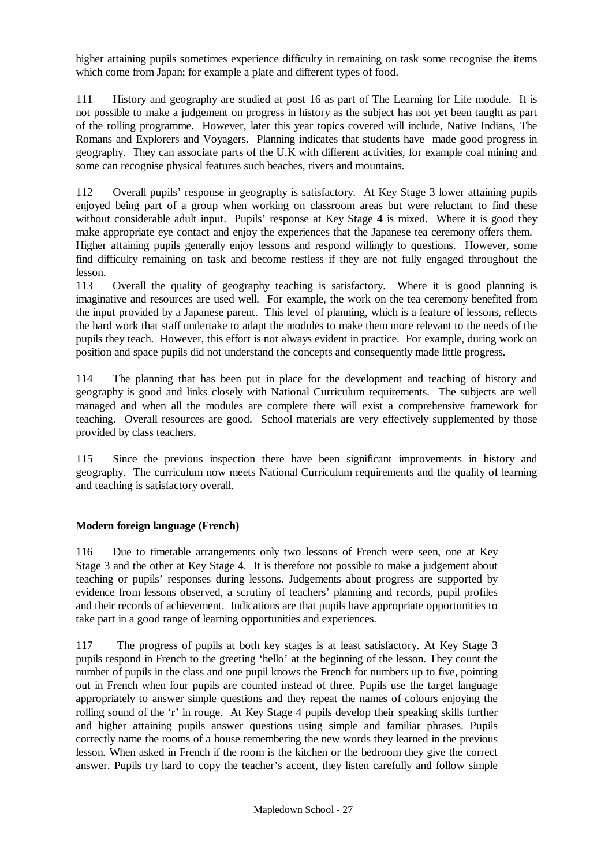higher attaining pupils sometimes experience difficulty in remaining on task some recognise the items which come from Japan; for example a plate and different types of food.

111 History and geography are studied at post 16 as part of The Learning for Life module. It is not possible to make a judgement on progress in history as the subject has not yet been taught as part of the rolling programme. However, later this year topics covered will include, Native Indians, The Romans and Explorers and Voyagers. Planning indicates that students have made good progress in geography. They can associate parts of the U.K with different activities, for example coal mining and some can recognise physical features such beaches, rivers and mountains.

112 Overall pupils' response in geography is satisfactory. At Key Stage 3 lower attaining pupils enjoyed being part of a group when working on classroom areas but were reluctant to find these without considerable adult input. Pupils' response at Key Stage 4 is mixed. Where it is good they make appropriate eye contact and enjoy the experiences that the Japanese tea ceremony offers them. Higher attaining pupils generally enjoy lessons and respond willingly to questions. However, some find difficulty remaining on task and become restless if they are not fully engaged throughout the lesson.

113 Overall the quality of geography teaching is satisfactory. Where it is good planning is imaginative and resources are used well. For example, the work on the tea ceremony benefited from the input provided by a Japanese parent. This level of planning, which is a feature of lessons, reflects the hard work that staff undertake to adapt the modules to make them more relevant to the needs of the pupils they teach. However, this effort is not always evident in practice. For example, during work on position and space pupils did not understand the concepts and consequently made little progress.

114 The planning that has been put in place for the development and teaching of history and geography is good and links closely with National Curriculum requirements. The subjects are well managed and when all the modules are complete there will exist a comprehensive framework for teaching. Overall resources are good. School materials are very effectively supplemented by those provided by class teachers.

115 Since the previous inspection there have been significant improvements in history and geography. The curriculum now meets National Curriculum requirements and the quality of learning and teaching is satisfactory overall.

## **Modern foreign language (French)**

116 Due to timetable arrangements only two lessons of French were seen, one at Key Stage 3 and the other at Key Stage 4. It is therefore not possible to make a judgement about teaching or pupils' responses during lessons. Judgements about progress are supported by evidence from lessons observed, a scrutiny of teachers' planning and records, pupil profiles and their records of achievement. Indications are that pupils have appropriate opportunities to take part in a good range of learning opportunities and experiences.

117 The progress of pupils at both key stages is at least satisfactory. At Key Stage 3 pupils respond in French to the greeting 'hello' at the beginning of the lesson. They count the number of pupils in the class and one pupil knows the French for numbers up to five, pointing out in French when four pupils are counted instead of three. Pupils use the target language appropriately to answer simple questions and they repeat the names of colours enjoying the rolling sound of the 'r' in rouge. At Key Stage 4 pupils develop their speaking skills further and higher attaining pupils answer questions using simple and familiar phrases. Pupils correctly name the rooms of a house remembering the new words they learned in the previous lesson. When asked in French if the room is the kitchen or the bedroom they give the correct answer. Pupils try hard to copy the teacher's accent, they listen carefully and follow simple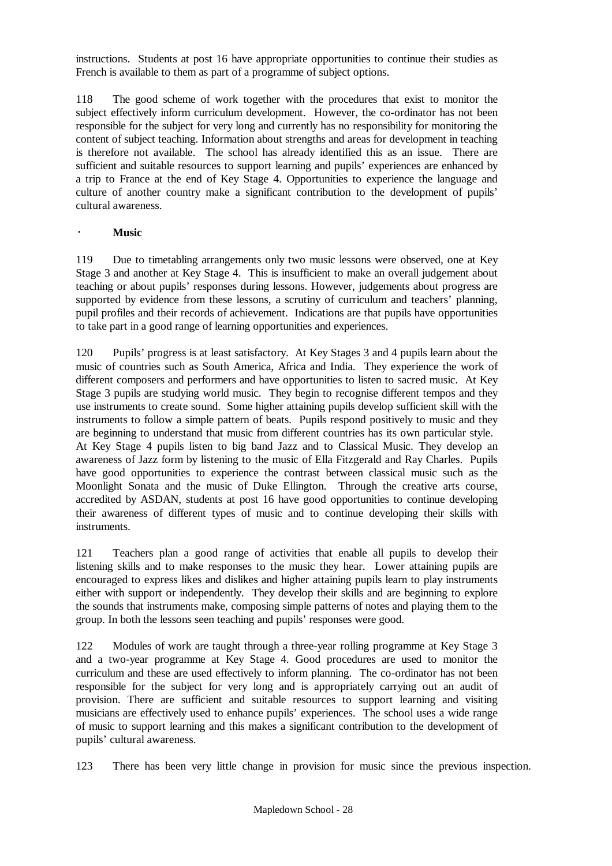instructions. Students at post 16 have appropriate opportunities to continue their studies as French is available to them as part of a programme of subject options.

118 The good scheme of work together with the procedures that exist to monitor the subject effectively inform curriculum development. However, the co-ordinator has not been responsible for the subject for very long and currently has no responsibility for monitoring the content of subject teaching. Information about strengths and areas for development in teaching is therefore not available. The school has already identified this as an issue. There are sufficient and suitable resources to support learning and pupils' experiences are enhanced by a trip to France at the end of Key Stage 4. Opportunities to experience the language and culture of another country make a significant contribution to the development of pupils' cultural awareness.

#### · **Music**

119 Due to timetabling arrangements only two music lessons were observed, one at Key Stage 3 and another at Key Stage 4. This is insufficient to make an overall judgement about teaching or about pupils' responses during lessons. However, judgements about progress are supported by evidence from these lessons, a scrutiny of curriculum and teachers' planning, pupil profiles and their records of achievement. Indications are that pupils have opportunities to take part in a good range of learning opportunities and experiences.

120 Pupils' progress is at least satisfactory. At Key Stages 3 and 4 pupils learn about the music of countries such as South America, Africa and India. They experience the work of different composers and performers and have opportunities to listen to sacred music. At Key Stage 3 pupils are studying world music. They begin to recognise different tempos and they use instruments to create sound. Some higher attaining pupils develop sufficient skill with the instruments to follow a simple pattern of beats. Pupils respond positively to music and they are beginning to understand that music from different countries has its own particular style. At Key Stage 4 pupils listen to big band Jazz and to Classical Music. They develop an awareness of Jazz form by listening to the music of Ella Fitzgerald and Ray Charles. Pupils have good opportunities to experience the contrast between classical music such as the Moonlight Sonata and the music of Duke Ellington. Through the creative arts course, accredited by ASDAN, students at post 16 have good opportunities to continue developing their awareness of different types of music and to continue developing their skills with instruments.

121 Teachers plan a good range of activities that enable all pupils to develop their listening skills and to make responses to the music they hear. Lower attaining pupils are encouraged to express likes and dislikes and higher attaining pupils learn to play instruments either with support or independently. They develop their skills and are beginning to explore the sounds that instruments make, composing simple patterns of notes and playing them to the group. In both the lessons seen teaching and pupils' responses were good.

122 Modules of work are taught through a three-year rolling programme at Key Stage 3 and a two-year programme at Key Stage 4. Good procedures are used to monitor the curriculum and these are used effectively to inform planning. The co-ordinator has not been responsible for the subject for very long and is appropriately carrying out an audit of provision. There are sufficient and suitable resources to support learning and visiting musicians are effectively used to enhance pupils' experiences. The school uses a wide range of music to support learning and this makes a significant contribution to the development of pupils' cultural awareness.

123 There has been very little change in provision for music since the previous inspection.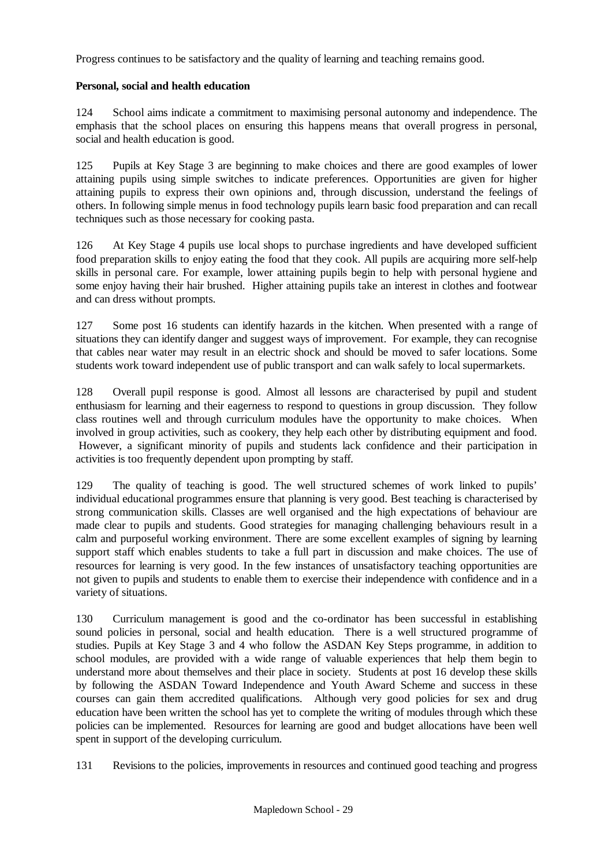Progress continues to be satisfactory and the quality of learning and teaching remains good.

## **Personal, social and health education**

124 School aims indicate a commitment to maximising personal autonomy and independence. The emphasis that the school places on ensuring this happens means that overall progress in personal, social and health education is good.

125 Pupils at Key Stage 3 are beginning to make choices and there are good examples of lower attaining pupils using simple switches to indicate preferences. Opportunities are given for higher attaining pupils to express their own opinions and, through discussion, understand the feelings of others. In following simple menus in food technology pupils learn basic food preparation and can recall techniques such as those necessary for cooking pasta.

126 At Key Stage 4 pupils use local shops to purchase ingredients and have developed sufficient food preparation skills to enjoy eating the food that they cook. All pupils are acquiring more self-help skills in personal care. For example, lower attaining pupils begin to help with personal hygiene and some enjoy having their hair brushed. Higher attaining pupils take an interest in clothes and footwear and can dress without prompts.

127 Some post 16 students can identify hazards in the kitchen. When presented with a range of situations they can identify danger and suggest ways of improvement. For example, they can recognise that cables near water may result in an electric shock and should be moved to safer locations. Some students work toward independent use of public transport and can walk safely to local supermarkets.

128 Overall pupil response is good. Almost all lessons are characterised by pupil and student enthusiasm for learning and their eagerness to respond to questions in group discussion. They follow class routines well and through curriculum modules have the opportunity to make choices. When involved in group activities, such as cookery, they help each other by distributing equipment and food. However, a significant minority of pupils and students lack confidence and their participation in activities is too frequently dependent upon prompting by staff.

129 The quality of teaching is good. The well structured schemes of work linked to pupils' individual educational programmes ensure that planning is very good. Best teaching is characterised by strong communication skills. Classes are well organised and the high expectations of behaviour are made clear to pupils and students. Good strategies for managing challenging behaviours result in a calm and purposeful working environment. There are some excellent examples of signing by learning support staff which enables students to take a full part in discussion and make choices. The use of resources for learning is very good. In the few instances of unsatisfactory teaching opportunities are not given to pupils and students to enable them to exercise their independence with confidence and in a variety of situations.

130 Curriculum management is good and the co-ordinator has been successful in establishing sound policies in personal, social and health education. There is a well structured programme of studies. Pupils at Key Stage 3 and 4 who follow the ASDAN Key Steps programme, in addition to school modules, are provided with a wide range of valuable experiences that help them begin to understand more about themselves and their place in society. Students at post 16 develop these skills by following the ASDAN Toward Independence and Youth Award Scheme and success in these courses can gain them accredited qualifications. Although very good policies for sex and drug education have been written the school has yet to complete the writing of modules through which these policies can be implemented. Resources for learning are good and budget allocations have been well spent in support of the developing curriculum.

131 Revisions to the policies, improvements in resources and continued good teaching and progress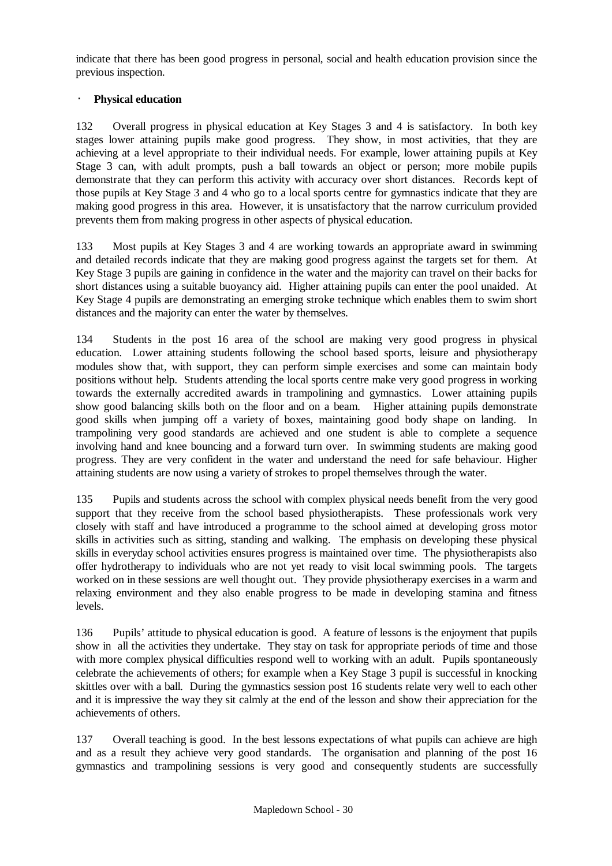indicate that there has been good progress in personal, social and health education provision since the previous inspection.

## · **Physical education**

132 Overall progress in physical education at Key Stages 3 and 4 is satisfactory. In both key stages lower attaining pupils make good progress. They show, in most activities, that they are achieving at a level appropriate to their individual needs. For example, lower attaining pupils at Key Stage 3 can, with adult prompts, push a ball towards an object or person; more mobile pupils demonstrate that they can perform this activity with accuracy over short distances. Records kept of those pupils at Key Stage 3 and 4 who go to a local sports centre for gymnastics indicate that they are making good progress in this area. However, it is unsatisfactory that the narrow curriculum provided prevents them from making progress in other aspects of physical education.

133 Most pupils at Key Stages 3 and 4 are working towards an appropriate award in swimming and detailed records indicate that they are making good progress against the targets set for them. At Key Stage 3 pupils are gaining in confidence in the water and the majority can travel on their backs for short distances using a suitable buoyancy aid. Higher attaining pupils can enter the pool unaided. At Key Stage 4 pupils are demonstrating an emerging stroke technique which enables them to swim short distances and the majority can enter the water by themselves.

134 Students in the post 16 area of the school are making very good progress in physical education. Lower attaining students following the school based sports, leisure and physiotherapy modules show that, with support, they can perform simple exercises and some can maintain body positions without help. Students attending the local sports centre make very good progress in working towards the externally accredited awards in trampolining and gymnastics. Lower attaining pupils show good balancing skills both on the floor and on a beam. Higher attaining pupils demonstrate good skills when jumping off a variety of boxes, maintaining good body shape on landing. In trampolining very good standards are achieved and one student is able to complete a sequence involving hand and knee bouncing and a forward turn over. In swimming students are making good progress. They are very confident in the water and understand the need for safe behaviour. Higher attaining students are now using a variety of strokes to propel themselves through the water.

135 Pupils and students across the school with complex physical needs benefit from the very good support that they receive from the school based physiotherapists. These professionals work very closely with staff and have introduced a programme to the school aimed at developing gross motor skills in activities such as sitting, standing and walking. The emphasis on developing these physical skills in everyday school activities ensures progress is maintained over time. The physiotherapists also offer hydrotherapy to individuals who are not yet ready to visit local swimming pools. The targets worked on in these sessions are well thought out. They provide physiotherapy exercises in a warm and relaxing environment and they also enable progress to be made in developing stamina and fitness levels.

136 Pupils' attitude to physical education is good. A feature of lessons is the enjoyment that pupils show in all the activities they undertake. They stay on task for appropriate periods of time and those with more complex physical difficulties respond well to working with an adult. Pupils spontaneously celebrate the achievements of others; for example when a Key Stage 3 pupil is successful in knocking skittles over with a ball. During the gymnastics session post 16 students relate very well to each other and it is impressive the way they sit calmly at the end of the lesson and show their appreciation for the achievements of others.

137 Overall teaching is good. In the best lessons expectations of what pupils can achieve are high and as a result they achieve very good standards. The organisation and planning of the post 16 gymnastics and trampolining sessions is very good and consequently students are successfully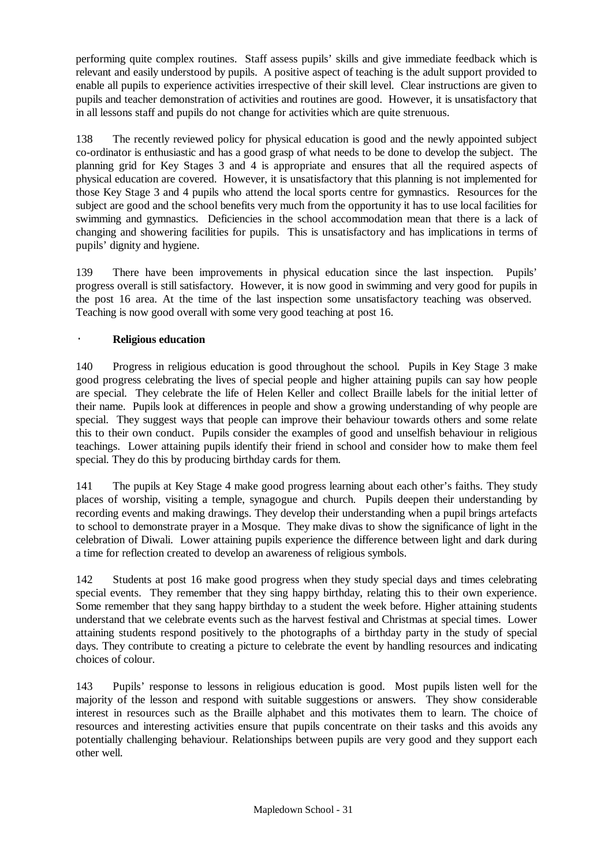performing quite complex routines. Staff assess pupils' skills and give immediate feedback which is relevant and easily understood by pupils. A positive aspect of teaching is the adult support provided to enable all pupils to experience activities irrespective of their skill level. Clear instructions are given to pupils and teacher demonstration of activities and routines are good. However, it is unsatisfactory that in all lessons staff and pupils do not change for activities which are quite strenuous.

138 The recently reviewed policy for physical education is good and the newly appointed subject co-ordinator is enthusiastic and has a good grasp of what needs to be done to develop the subject. The planning grid for Key Stages 3 and 4 is appropriate and ensures that all the required aspects of physical education are covered. However, it is unsatisfactory that this planning is not implemented for those Key Stage 3 and 4 pupils who attend the local sports centre for gymnastics. Resources for the subject are good and the school benefits very much from the opportunity it has to use local facilities for swimming and gymnastics. Deficiencies in the school accommodation mean that there is a lack of changing and showering facilities for pupils. This is unsatisfactory and has implications in terms of pupils' dignity and hygiene.

139 There have been improvements in physical education since the last inspection. Pupils' progress overall is still satisfactory. However, it is now good in swimming and very good for pupils in the post 16 area. At the time of the last inspection some unsatisfactory teaching was observed. Teaching is now good overall with some very good teaching at post 16.

## · **Religious education**

140 Progress in religious education is good throughout the school. Pupils in Key Stage 3 make good progress celebrating the lives of special people and higher attaining pupils can say how people are special. They celebrate the life of Helen Keller and collect Braille labels for the initial letter of their name. Pupils look at differences in people and show a growing understanding of why people are special. They suggest ways that people can improve their behaviour towards others and some relate this to their own conduct. Pupils consider the examples of good and unselfish behaviour in religious teachings. Lower attaining pupils identify their friend in school and consider how to make them feel special. They do this by producing birthday cards for them.

141 The pupils at Key Stage 4 make good progress learning about each other's faiths. They study places of worship, visiting a temple, synagogue and church. Pupils deepen their understanding by recording events and making drawings. They develop their understanding when a pupil brings artefacts to school to demonstrate prayer in a Mosque. They make divas to show the significance of light in the celebration of Diwali. Lower attaining pupils experience the difference between light and dark during a time for reflection created to develop an awareness of religious symbols.

142 Students at post 16 make good progress when they study special days and times celebrating special events. They remember that they sing happy birthday, relating this to their own experience. Some remember that they sang happy birthday to a student the week before. Higher attaining students understand that we celebrate events such as the harvest festival and Christmas at special times. Lower attaining students respond positively to the photographs of a birthday party in the study of special days. They contribute to creating a picture to celebrate the event by handling resources and indicating choices of colour.

143 Pupils' response to lessons in religious education is good. Most pupils listen well for the majority of the lesson and respond with suitable suggestions or answers. They show considerable interest in resources such as the Braille alphabet and this motivates them to learn. The choice of resources and interesting activities ensure that pupils concentrate on their tasks and this avoids any potentially challenging behaviour. Relationships between pupils are very good and they support each other well.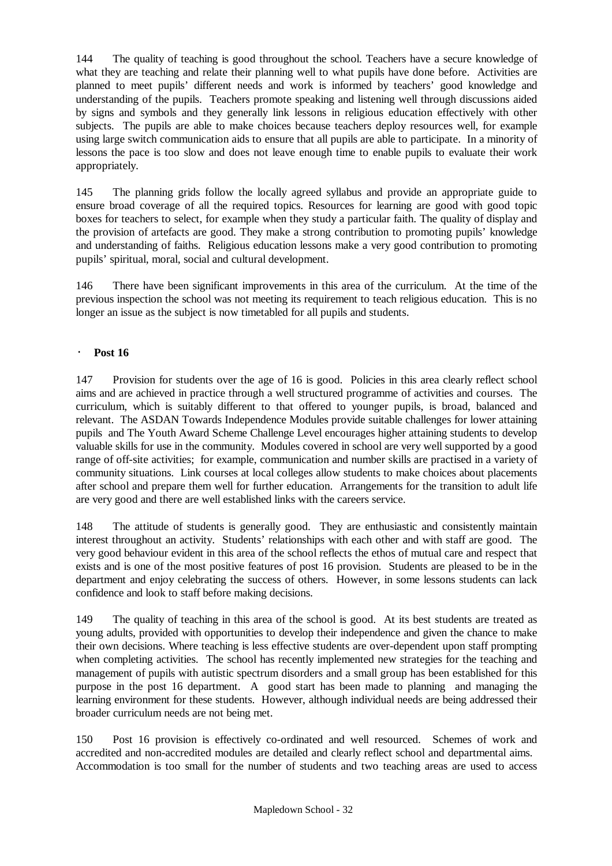144 The quality of teaching is good throughout the school. Teachers have a secure knowledge of what they are teaching and relate their planning well to what pupils have done before. Activities are planned to meet pupils' different needs and work is informed by teachers' good knowledge and understanding of the pupils. Teachers promote speaking and listening well through discussions aided by signs and symbols and they generally link lessons in religious education effectively with other subjects. The pupils are able to make choices because teachers deploy resources well, for example using large switch communication aids to ensure that all pupils are able to participate. In a minority of lessons the pace is too slow and does not leave enough time to enable pupils to evaluate their work appropriately.

145 The planning grids follow the locally agreed syllabus and provide an appropriate guide to ensure broad coverage of all the required topics. Resources for learning are good with good topic boxes for teachers to select, for example when they study a particular faith. The quality of display and the provision of artefacts are good. They make a strong contribution to promoting pupils' knowledge and understanding of faiths. Religious education lessons make a very good contribution to promoting pupils' spiritual, moral, social and cultural development.

146 There have been significant improvements in this area of the curriculum. At the time of the previous inspection the school was not meeting its requirement to teach religious education. This is no longer an issue as the subject is now timetabled for all pupils and students.

## · **Post 16**

147 Provision for students over the age of 16 is good. Policies in this area clearly reflect school aims and are achieved in practice through a well structured programme of activities and courses. The curriculum, which is suitably different to that offered to younger pupils, is broad, balanced and relevant. The ASDAN Towards Independence Modules provide suitable challenges for lower attaining pupils and The Youth Award Scheme Challenge Level encourages higher attaining students to develop valuable skills for use in the community. Modules covered in school are very well supported by a good range of off-site activities; for example, communication and number skills are practised in a variety of community situations. Link courses at local colleges allow students to make choices about placements after school and prepare them well for further education. Arrangements for the transition to adult life are very good and there are well established links with the careers service.

148 The attitude of students is generally good. They are enthusiastic and consistently maintain interest throughout an activity. Students' relationships with each other and with staff are good. The very good behaviour evident in this area of the school reflects the ethos of mutual care and respect that exists and is one of the most positive features of post 16 provision. Students are pleased to be in the department and enjoy celebrating the success of others. However, in some lessons students can lack confidence and look to staff before making decisions.

149 The quality of teaching in this area of the school is good. At its best students are treated as young adults, provided with opportunities to develop their independence and given the chance to make their own decisions. Where teaching is less effective students are over-dependent upon staff prompting when completing activities. The school has recently implemented new strategies for the teaching and management of pupils with autistic spectrum disorders and a small group has been established for this purpose in the post 16 department. A good start has been made to planning and managing the learning environment for these students. However, although individual needs are being addressed their broader curriculum needs are not being met.

150 Post 16 provision is effectively co-ordinated and well resourced. Schemes of work and accredited and non-accredited modules are detailed and clearly reflect school and departmental aims. Accommodation is too small for the number of students and two teaching areas are used to access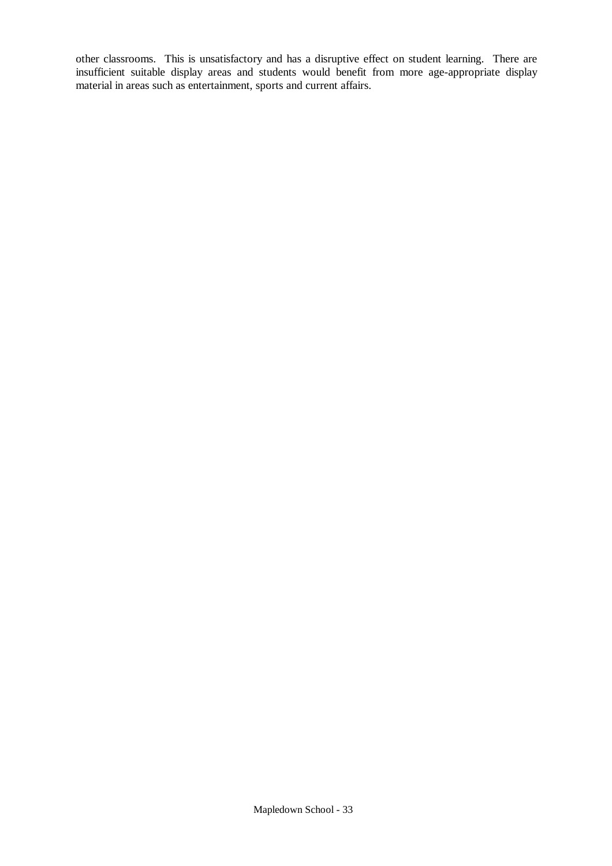other classrooms. This is unsatisfactory and has a disruptive effect on student learning. There are insufficient suitable display areas and students would benefit from more age-appropriate display material in areas such as entertainment, sports and current affairs.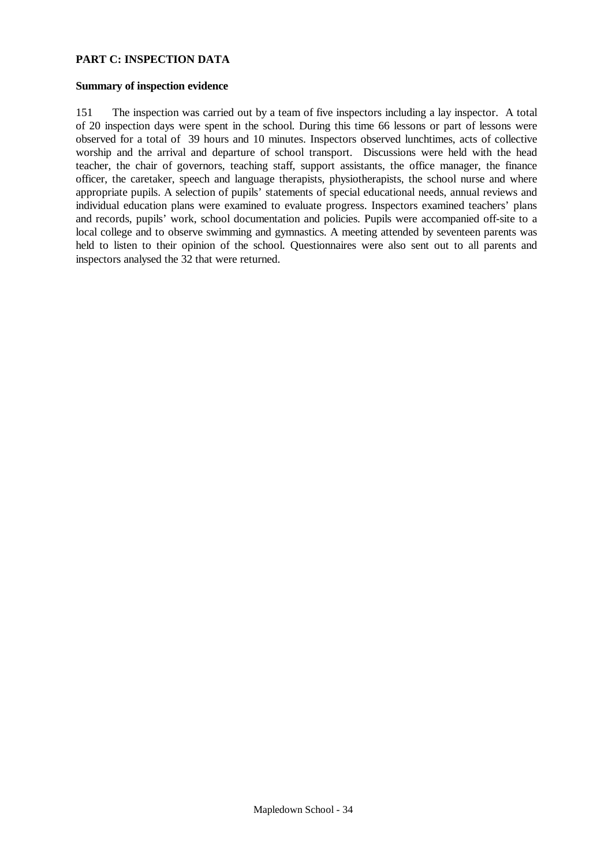#### **PART C: INSPECTION DATA**

#### **Summary of inspection evidence**

151 The inspection was carried out by a team of five inspectors including a lay inspector. A total of 20 inspection days were spent in the school. During this time 66 lessons or part of lessons were observed for a total of 39 hours and 10 minutes. Inspectors observed lunchtimes, acts of collective worship and the arrival and departure of school transport. Discussions were held with the head teacher, the chair of governors, teaching staff, support assistants, the office manager, the finance officer, the caretaker, speech and language therapists, physiotherapists, the school nurse and where appropriate pupils. A selection of pupils' statements of special educational needs, annual reviews and individual education plans were examined to evaluate progress. Inspectors examined teachers' plans and records, pupils' work, school documentation and policies. Pupils were accompanied off-site to a local college and to observe swimming and gymnastics. A meeting attended by seventeen parents was held to listen to their opinion of the school. Questionnaires were also sent out to all parents and inspectors analysed the 32 that were returned.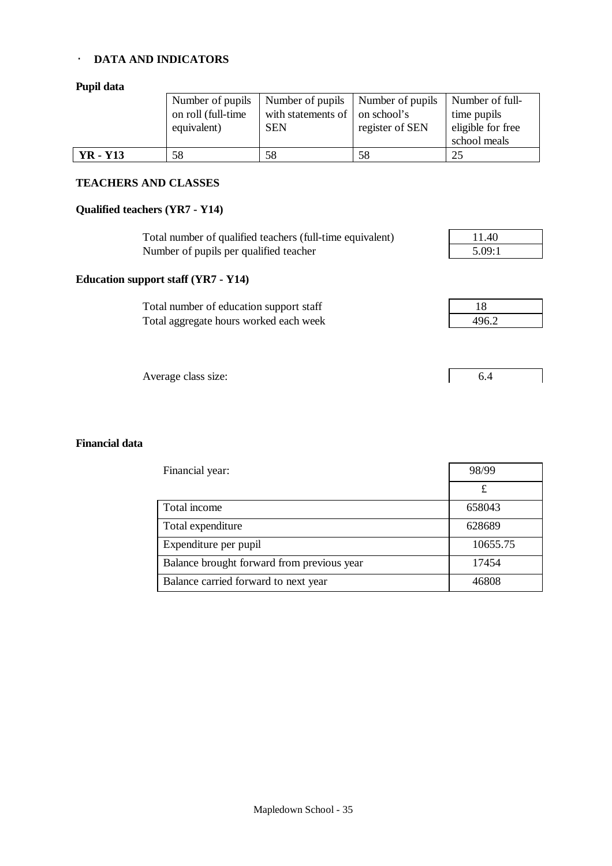#### · **DATA AND INDICATORS**

## **Pupil data**

|                 | Number of pupils   | Number of pupils   Number of pupils    |                 | Number of full-   |
|-----------------|--------------------|----------------------------------------|-----------------|-------------------|
|                 | on roll (full-time | with statements of $\vert$ on school's |                 | time pupils       |
|                 | equivalent)        | <b>SEN</b>                             | register of SEN | eligible for free |
|                 |                    |                                        |                 | school meals      |
| <b>YR</b> - Y13 | 58                 | 58                                     | 58              | 25                |

#### **TEACHERS AND CLASSES**

#### **Qualified teachers (YR7 - Y14)**

**Education support staff (YR7 - Y14)**

Total number of qualified teachers (full-time equivalent) 11.40 Number of pupils per qualified teacher 5.09:1

Total number of education support staff Total aggregate hours worked each week

| 18    |  |
|-------|--|
| 496.2 |  |

Average class size: 6.4

#### **Financial data**

| Financial year:                            | 98/99    |  |
|--------------------------------------------|----------|--|
|                                            |          |  |
| Total income                               | 658043   |  |
| Total expenditure                          | 628689   |  |
| Expenditure per pupil                      | 10655.75 |  |
| Balance brought forward from previous year | 17454    |  |
| Balance carried forward to next year       | 46808    |  |